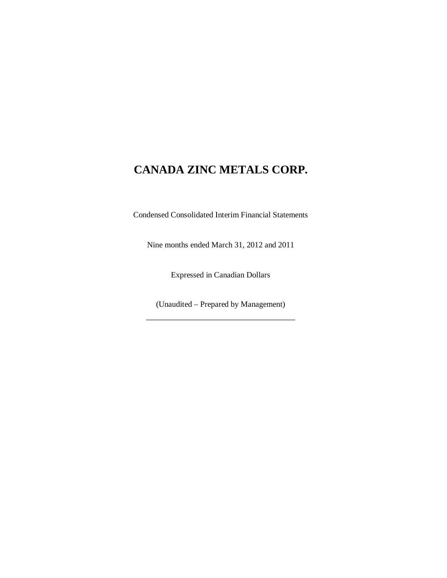Condensed Consolidated Interim Financial Statements

Nine months ended March 31, 2012 and 2011

Expressed in Canadian Dollars

(Unaudited – Prepared by Management) \_\_\_\_\_\_\_\_\_\_\_\_\_\_\_\_\_\_\_\_\_\_\_\_\_\_\_\_\_\_\_\_\_\_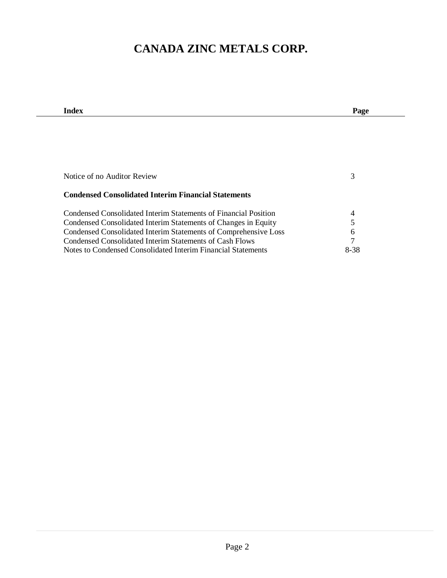| Index                                                           | Page           |
|-----------------------------------------------------------------|----------------|
|                                                                 |                |
|                                                                 |                |
|                                                                 |                |
|                                                                 |                |
|                                                                 |                |
| Notice of no Auditor Review                                     | 3              |
|                                                                 |                |
| <b>Condensed Consolidated Interim Financial Statements</b>      |                |
|                                                                 |                |
| Condensed Consolidated Interim Statements of Financial Position | 4              |
| Condensed Consolidated Interim Statements of Changes in Equity  | 5              |
| Condensed Consolidated Interim Statements of Comprehensive Loss | 6              |
| Condensed Consolidated Interim Statements of Cash Flows         | $\overline{7}$ |
| Notes to Condensed Consolidated Interim Financial Statements    | 8-38           |
|                                                                 |                |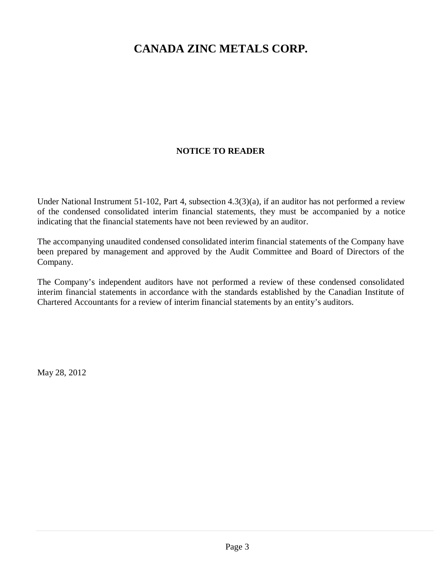## **NOTICE TO READER**

Under National Instrument 51-102, Part 4, subsection 4.3(3)(a), if an auditor has not performed a review of the condensed consolidated interim financial statements, they must be accompanied by a notice indicating that the financial statements have not been reviewed by an auditor.

The accompanying unaudited condensed consolidated interim financial statements of the Company have been prepared by management and approved by the Audit Committee and Board of Directors of the Company.

The Company's independent auditors have not performed a review of these condensed consolidated interim financial statements in accordance with the standards established by the Canadian Institute of Chartered Accountants for a review of interim financial statements by an entity's auditors.

May 28, 2012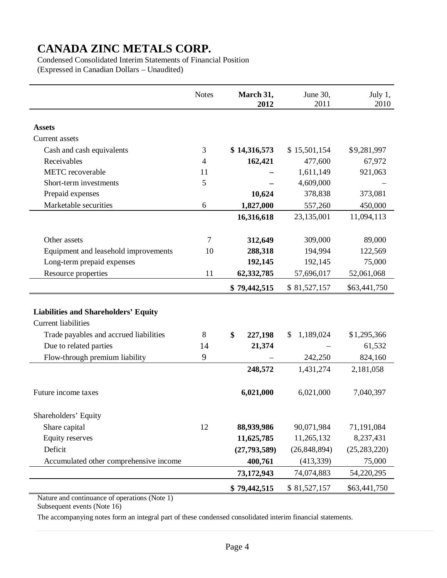Condensed Consolidated Interim Statements of Financial Position (Expressed in Canadian Dollars – Unaudited)

|                                             | <b>Notes</b> | March 31,<br>2012 | June 30,<br>2011 | July 1,<br>2010 |
|---------------------------------------------|--------------|-------------------|------------------|-----------------|
|                                             |              |                   |                  |                 |
| <b>Assets</b>                               |              |                   |                  |                 |
| <b>Current</b> assets                       |              |                   |                  |                 |
| Cash and cash equivalents                   | 3            | \$14,316,573      | \$15,501,154     | \$9,281,997     |
| Receivables                                 | 4            | 162,421           | 477,600          | 67,972          |
| <b>METC</b> recoverable                     | 11           |                   | 1,611,149        | 921,063         |
| Short-term investments                      | 5            |                   | 4,609,000        |                 |
| Prepaid expenses                            |              | 10,624            | 378,838          | 373,081         |
| Marketable securities                       | 6            | 1,827,000         | 557,260          | 450,000         |
|                                             |              | 16,316,618        | 23,135,001       | 11,094,113      |
|                                             |              |                   |                  |                 |
| Other assets                                | 7            | 312,649           | 309,000          | 89,000          |
| Equipment and leasehold improvements        | 10           | 288,318           | 194,994          | 122,569         |
| Long-term prepaid expenses                  |              | 192,145           | 192,145          | 75,000          |
| Resource properties                         | 11           | 62,332,785        | 57,696,017       | 52,061,068      |
|                                             |              | \$79,442,515      | \$81,527,157     | \$63,441,750    |
|                                             |              |                   |                  |                 |
| <b>Liabilities and Shareholders' Equity</b> |              |                   |                  |                 |
| <b>Current liabilities</b>                  |              |                   |                  |                 |
| Trade payables and accrued liabilities      | 8            | \$<br>227,198     | 1,189,024<br>S.  | \$1,295,366     |
| Due to related parties                      | 14           | 21,374            |                  | 61,532          |
| Flow-through premium liability              | 9            |                   | 242,250          | 824,160         |
|                                             |              | 248,572           | 1,431,274        | 2,181,058       |
| Future income taxes                         |              | 6,021,000         | 6,021,000        | 7,040,397       |
| Shareholders' Equity                        |              |                   |                  |                 |
| Share capital                               | 12           | 88,939,986        | 90,071,984       | 71,191,084      |
| <b>Equity reserves</b>                      |              | 11,625,785        | 11,265,132       | 8,237,431       |
| Deficit                                     |              | (27, 793, 589)    | (26, 848, 894)   | (25, 283, 220)  |
| Accumulated other comprehensive income      |              | 400,761           | (413, 339)       | 75,000          |
|                                             |              | 73,172,943        | 74,074,883       | 54,220,295      |
|                                             |              | \$79,442,515      | \$81,527,157     | \$63,441,750    |

Nature and continuance of operations (Note 1)

Subsequent events (Note 16)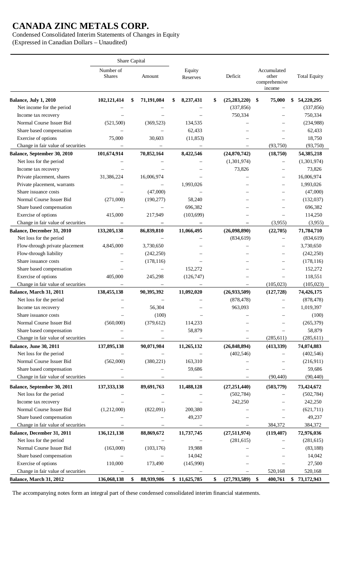Condensed Consolidated Interim Statements of Changes in Equity (Expressed in Canadian Dollars – Unaudited)

Share Capital Number of Shares Amount Equity Reserves Deficit Accumulated other comprehensive income Total Equity **Balance, July 1, 2010 102,121,414 \$ 71,191,084 \$ 8,237,431 \$ (25,283,220) \$ 75,000 \$ 54,220,295**  Net income for the period  $(337,856)$   $(337,856)$ Income tax recovery  $\qquad \qquad \qquad \qquad \qquad$  750,334  $\qquad -$  750,334 Normal Course Issuer Bid (521,500) (369,523) 134,535 – – (234,988) Share based compensation  $62,433$   $62,433$ Exercise of options 75,000 30,603 (11,853) – – 18,750 Change in fair value of securities  $(93,750)$   $(93,750)$ **Balance, September 30, 2010 101,674,914 70,852,164 8,422,546 (24,870,742) (18,750) 54,385,218**  Net loss for the period – – – – (1,301,974) – (1,301,974) Income tax recovery  $\qquad \qquad \qquad \qquad \qquad \qquad \qquad \qquad \qquad \qquad \qquad \qquad \qquad \qquad \qquad \qquad \qquad \qquad \qquad \qquad \qquad \qquad \qquad \qquad \qquad \qquad \qquad \qquad \qquad -$ Private placement, shares 31,386,224 16,006,974 – – – 16,006,974 Private placement, warrants – – 1,993,026 – – 1,993,026 Share issuance costs  $-$  (47,000)  $-$  (47,000) Normal Course Issuer Bid (271,000) (190,277) 58,240 – – (132,037) Share based compensation – – – 696,382 – – 696,382 Exercise of options 415,000 217,949 (103,699) – – 114,250 Change in fair value of securities **– – – –** (3,955) (3,955) **Balance, December 31, 2010 133,205,138 86,839,810 11,066,495 (26,098,890) (22,705) 71,784,710**  Net loss for the period – – – – (834,619) – (834,619) Flow-through private placement 4,845,000 3,730,650 – – – 3,730,650 Flow-through liability – (242,250) – – (242,250) Share issuance costs – (178,116) – – – (178,116) Share based compensation – – – 152,272 – – 152,272 Exercise of options 405,000 245,298 (126,747) – – 118,551 Change in fair value of securities  $(105,023)$   $(105,023)$   $(105,023)$ **Balance, March 31, 2011 138,455,138 90,395,392 11,092,020 (26,933,509) (127,728) 74,426,175**  Net loss for the period – – – – (878,478) – (878,478) Income tax recovery  $-$  56,304 – 963,093 – 1,019,397 Share issuance costs  $-$  (100)  $-$  (100) Normal Course Issuer Bid (560,000) (379,612) 114,233 – – (265,379) Share based compensation – – 58,879 – – 58,879 Change in fair value of securities  $\qquad \qquad \qquad \qquad \qquad \qquad \qquad \qquad \qquad \qquad \qquad \qquad \qquad \qquad \qquad \qquad \qquad \qquad \qquad \qquad \qquad \qquad \qquad \qquad \qquad \qquad \qquad$ **Balance, June 30, 2011 137,895,138 90,071,984 11,265,132 (26,848,894) (413,339) 74,074,883**  Net loss for the period – – – – (402,546) – (402,546) Normal Course Issuer Bid (562,000) (380,221) 163,310 – – (216,911) Share based compensation – – 59,686 – – 59,686 Change in fair value of securities  $\qquad \qquad \qquad \qquad \qquad \qquad \qquad$  (90,440) (90,440) **Balance, September 30, 2011 137,333,138 89,691,763 11,488,128 (27,251,440) (503,779) 73,424,672**  Net loss for the period – – – – – (502,784) – (502,784) Income tax recovery – – – – – 242,250 – 242,250 Normal Course Issuer Bid (1,212,000) (822,091) 200,380 – – (621,711) Share based compensation  $\qquad \qquad \qquad \qquad \qquad \qquad \qquad \qquad \qquad \qquad \qquad \qquad \qquad \qquad \qquad \qquad \qquad \qquad \qquad \qquad \qquad \qquad \qquad \qquad \qquad \qquad \qquad \qquad -$  Change in fair value of securities – – – – – – 384,372 384,372 384,372 **Balance, December 31, 2011 136,121,138 88,869,672 11,737,745 (27,511,974) (119,407) 72,976,036**  Net loss for the period – – – – (281,615) – (281,615) Normal Course Issuer Bid (163,000) (103,176) 19,988 – – (83,188) Share based compensation  $14,042$   $14,042$ Exercise of options 110,000 173,490 (145,990) – – 27,500 Change in fair value of securities  $\qquad \qquad \qquad \qquad \qquad \qquad$  520,168 520,168 **Balance, March 31, 2012 136,068,138 \$ 88,939,986 \$ 11,625,785 \$ (27,793,589) \$ 400,761 \$ 73,172,943**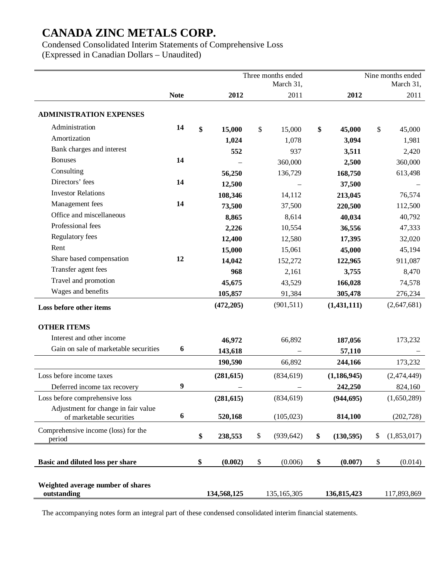Condensed Consolidated Interim Statements of Comprehensive Loss (Expressed in Canadian Dollars – Unaudited)

Three months ended March 31, Nine months ended March 31, **Note** 2012 2011 2012 2012 2011 **ADMINISTRATION EXPENSES**  Administration **14 \$ 15,000** \$ 15,000 **\$ 45,000** \$ 45,000 Amortization **1,024** 1,078 **3,094** 1,981 Bank charges and interest **552** 937 **3,511** 2,420 Bonuses **14** – 360,000 **2,500** 360,000 Consulting **56,250** 136,729 **168,750** 613,498 Directors' fees **14 12,500** – **37,500** – Investor Relations **108,346** 14,112 **213,045** 76,574 Management fees **14 73,500** 37,500 **220,500** 112,500 Office and miscellaneous **8,865** 8,614 **40,034** 40,792 Professional fees **2,226** 10,554 **36,556** 47,333 Regulatory fees **12,400** 12,580 **17,395** 32,020 Rent **15,000** 15,061 **45,000** 45,194 Share based compensation **12 14,042 152,272 122,965 911,087** Transfer agent fees **968 2**,161 **3,755 8,470** Travel and promotion **45,675** 43,529 **166,028** 74,578 Wages and benefits **105,857** 91,384 **305,478** 276,234 **Loss before other items (472,205)** (901,511) **(1,431,111)** (2,647,681) **OTHER ITEMS**  Interest and other income **46,972** 66,892 **187,056** 173,232 Gain on sale of marketable securities **6** 143,618 – 57,110 **190,590** 66,892 **244,166** 173,232 Loss before income taxes **(281,615)** (834,619) **(1,186,945)** (2,474,449) Deferred income tax recovery **9** – – **242,250** 824,160 Loss before comprehensive loss **(281,615)** (834,619) **(944,695)** (1,650,289) Adjustment for change in fair value of marketable securities **6 520,168** (105,023) **814,100** (202,728) Comprehensive income (loss) for the period **\$ 238,553** \$ (939,642) **\$ (130,595)** \$ (1,853,017) **Basic and diluted loss per share \$ (0.002)** \$ (0.006) **\$ (0.007)** \$ (0.014) **Weighted average number of shares outstanding 134,568,125** 135,165,305 **136,815,423** 117,893,869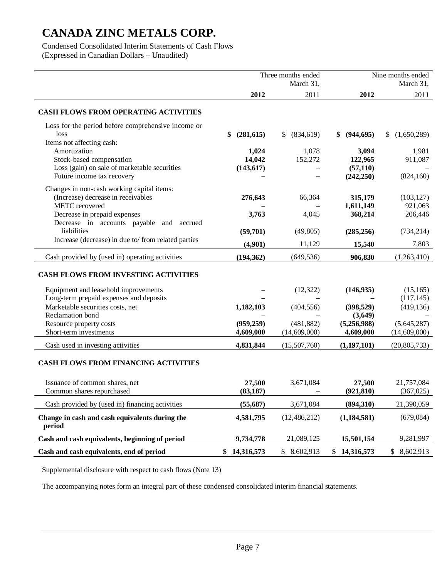Condensed Consolidated Interim Statements of Cash Flows (Expressed in Canadian Dollars – Unaudited)

|                                                                            | Three months ended |                              | Nine months ended       |                       |
|----------------------------------------------------------------------------|--------------------|------------------------------|-------------------------|-----------------------|
|                                                                            |                    | March 31,                    |                         | March 31,             |
|                                                                            | 2012               | 2011                         | 2012                    | 2011                  |
| <b>CASH FLOWS FROM OPERATING ACTIVITIES</b>                                |                    |                              |                         |                       |
| Loss for the period before comprehensive income or<br>loss                 | (281, 615)<br>\$   | (834, 619)<br>$\mathbb{S}^-$ | (944, 695)<br>\$        | (1,650,289)<br>S.     |
| Items not affecting cash:                                                  |                    |                              |                         |                       |
| Amortization                                                               | 1,024              | 1,078                        | 3,094                   | 1,981                 |
| Stock-based compensation                                                   | 14,042             | 152,272                      | 122,965                 | 911,087               |
| Loss (gain) on sale of marketable securities<br>Future income tax recovery | (143, 617)         |                              | (57, 110)<br>(242, 250) | (824, 160)            |
|                                                                            |                    |                              |                         |                       |
| Changes in non-cash working capital items:                                 |                    |                              |                         |                       |
| (Increase) decrease in receivables<br>METC recovered                       | 276,643            | 66,364                       | 315,179<br>1,611,149    | (103, 127)<br>921,063 |
| Decrease in prepaid expenses                                               | 3,763              | 4,045                        | 368,214                 | 206,446               |
| Decrease in accounts payable and accrued                                   |                    |                              |                         |                       |
| liabilities                                                                | (59,701)           | (49, 805)                    | (285, 256)              | (734, 214)            |
| Increase (decrease) in due to/ from related parties                        | (4,901)            | 11,129                       | 15,540                  | 7,803                 |
| Cash provided by (used in) operating activities                            | (194, 362)         | (649, 536)                   | 906,830                 | (1,263,410)           |
| <b>CASH FLOWS FROM INVESTING ACTIVITIES</b>                                |                    |                              |                         |                       |
| Equipment and leasehold improvements                                       |                    | (12, 322)                    | (146, 935)              | (15, 165)             |
| Long-term prepaid expenses and deposits                                    |                    |                              |                         | (117, 145)            |
| Marketable securities costs, net                                           | 1,182,103          | (404, 556)                   | (398, 529)              | (419, 136)            |
| Reclamation bond                                                           |                    |                              | (3,649)                 |                       |
| Resource property costs                                                    | (959, 259)         | (481, 882)                   | (5,256,988)             | (5,645,287)           |
| Short-term investments                                                     | 4,609,000          | (14,609,000)                 | 4,609,000               | (14,609,000)          |
| Cash used in investing activities                                          | 4,831,844          | (15,507,760)                 | (1,197,101)             | (20, 805, 733)        |
| <b>CASH FLOWS FROM FINANCING ACTIVITIES</b>                                |                    |                              |                         |                       |
| Issuance of common shares, net                                             | 27,500             | 3,671,084                    | 27,500                  | 21,757,084            |
| Common shares repurchased                                                  | (83, 187)          | $\overline{\phantom{0}}$     | (921, 810)              | (367, 025)            |
| Cash provided by (used in) financing activities                            | (55,687)           | 3,671,084                    | (894, 310)              | 21,390,059            |
| Change in cash and cash equivalents during the<br>period                   | 4,581,795          | (12, 486, 212)               | (1, 184, 581)           | (679,084)             |
| Cash and cash equivalents, beginning of period                             | 9,734,778          | 21,089,125                   | 15,501,154              | 9,281,997             |
| Cash and cash equivalents, end of period                                   | 14,316,573<br>\$   | 8,602,913<br>\$              | 14,316,573<br>\$        | 8,602,913<br>\$       |
|                                                                            |                    |                              |                         |                       |

Supplemental disclosure with respect to cash flows (Note 13)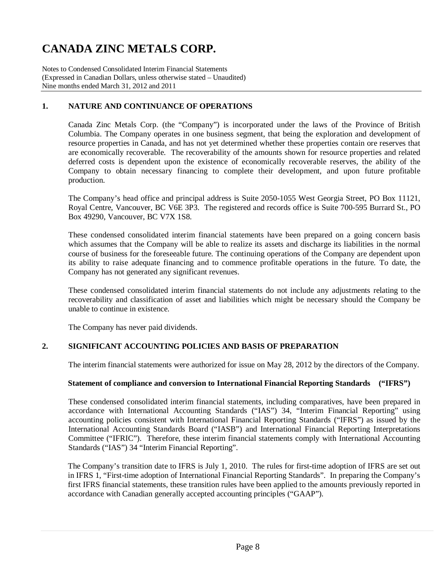Notes to Condensed Consolidated Interim Financial Statements (Expressed in Canadian Dollars, unless otherwise stated – Unaudited) Nine months ended March 31, 2012 and 2011

## **1. NATURE AND CONTINUANCE OF OPERATIONS**

Canada Zinc Metals Corp. (the "Company") is incorporated under the laws of the Province of British Columbia. The Company operates in one business segment, that being the exploration and development of resource properties in Canada, and has not yet determined whether these properties contain ore reserves that are economically recoverable. The recoverability of the amounts shown for resource properties and related deferred costs is dependent upon the existence of economically recoverable reserves, the ability of the Company to obtain necessary financing to complete their development, and upon future profitable production.

The Company's head office and principal address is Suite 2050-1055 West Georgia Street, PO Box 11121, Royal Centre, Vancouver, BC V6E 3P3. The registered and records office is Suite 700-595 Burrard St., PO Box 49290, Vancouver, BC V7X 1S8.

These condensed consolidated interim financial statements have been prepared on a going concern basis which assumes that the Company will be able to realize its assets and discharge its liabilities in the normal course of business for the foreseeable future. The continuing operations of the Company are dependent upon its ability to raise adequate financing and to commence profitable operations in the future. To date, the Company has not generated any significant revenues.

These condensed consolidated interim financial statements do not include any adjustments relating to the recoverability and classification of asset and liabilities which might be necessary should the Company be unable to continue in existence.

The Company has never paid dividends.

### **2. SIGNIFICANT ACCOUNTING POLICIES AND BASIS OF PREPARATION**

The interim financial statements were authorized for issue on May 28, 2012 by the directors of the Company.

### **Statement of compliance and conversion to International Financial Reporting Standards ("IFRS")**

These condensed consolidated interim financial statements, including comparatives, have been prepared in accordance with International Accounting Standards ("IAS") 34, "Interim Financial Reporting" using accounting policies consistent with International Financial Reporting Standards ("IFRS") as issued by the International Accounting Standards Board ("IASB") and International Financial Reporting Interpretations Committee ("IFRIC"). Therefore, these interim financial statements comply with International Accounting Standards ("IAS") 34 "Interim Financial Reporting".

The Company's transition date to IFRS is July 1, 2010. The rules for first-time adoption of IFRS are set out in IFRS 1, "First-time adoption of International Financial Reporting Standards". In preparing the Company's first IFRS financial statements, these transition rules have been applied to the amounts previously reported in accordance with Canadian generally accepted accounting principles ("GAAP").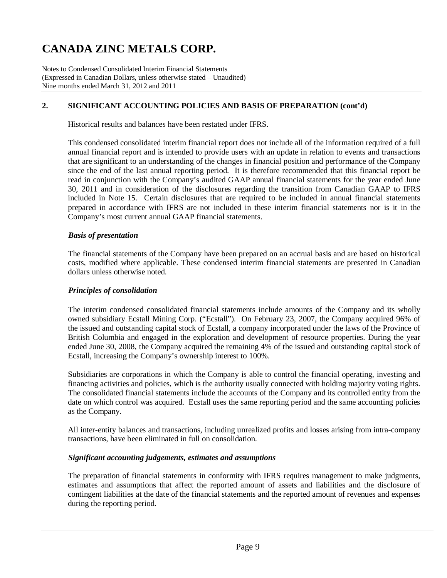Notes to Condensed Consolidated Interim Financial Statements (Expressed in Canadian Dollars, unless otherwise stated – Unaudited) Nine months ended March 31, 2012 and 2011

### **2. SIGNIFICANT ACCOUNTING POLICIES AND BASIS OF PREPARATION (cont'd)**

Historical results and balances have been restated under IFRS.

This condensed consolidated interim financial report does not include all of the information required of a full annual financial report and is intended to provide users with an update in relation to events and transactions that are significant to an understanding of the changes in financial position and performance of the Company since the end of the last annual reporting period. It is therefore recommended that this financial report be read in conjunction with the Company's audited GAAP annual financial statements for the year ended June 30, 2011 and in consideration of the disclosures regarding the transition from Canadian GAAP to IFRS included in Note 15. Certain disclosures that are required to be included in annual financial statements prepared in accordance with IFRS are not included in these interim financial statements nor is it in the Company's most current annual GAAP financial statements.

### *Basis of presentation*

The financial statements of the Company have been prepared on an accrual basis and are based on historical costs, modified where applicable. These condensed interim financial statements are presented in Canadian dollars unless otherwise noted.

#### *Principles of consolidation*

The interim condensed consolidated financial statements include amounts of the Company and its wholly owned subsidiary Ecstall Mining Corp. ("Ecstall"). On February 23, 2007, the Company acquired 96% of the issued and outstanding capital stock of Ecstall, a company incorporated under the laws of the Province of British Columbia and engaged in the exploration and development of resource properties. During the year ended June 30, 2008, the Company acquired the remaining 4% of the issued and outstanding capital stock of Ecstall, increasing the Company's ownership interest to 100%.

Subsidiaries are corporations in which the Company is able to control the financial operating, investing and financing activities and policies, which is the authority usually connected with holding majority voting rights. The consolidated financial statements include the accounts of the Company and its controlled entity from the date on which control was acquired. Ecstall uses the same reporting period and the same accounting policies as the Company.

All inter-entity balances and transactions, including unrealized profits and losses arising from intra-company transactions, have been eliminated in full on consolidation.

#### *Significant accounting judgements, estimates and assumptions*

The preparation of financial statements in conformity with IFRS requires management to make judgments, estimates and assumptions that affect the reported amount of assets and liabilities and the disclosure of contingent liabilities at the date of the financial statements and the reported amount of revenues and expenses during the reporting period.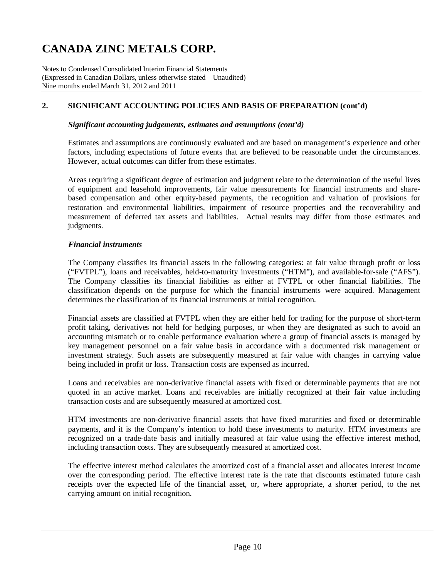Notes to Condensed Consolidated Interim Financial Statements (Expressed in Canadian Dollars, unless otherwise stated – Unaudited) Nine months ended March 31, 2012 and 2011

### **2. SIGNIFICANT ACCOUNTING POLICIES AND BASIS OF PREPARATION (cont'd)**

#### *Significant accounting judgements, estimates and assumptions (cont'd)*

Estimates and assumptions are continuously evaluated and are based on management's experience and other factors, including expectations of future events that are believed to be reasonable under the circumstances. However, actual outcomes can differ from these estimates.

Areas requiring a significant degree of estimation and judgment relate to the determination of the useful lives of equipment and leasehold improvements, fair value measurements for financial instruments and sharebased compensation and other equity-based payments, the recognition and valuation of provisions for restoration and environmental liabilities, impairment of resource properties and the recoverability and measurement of deferred tax assets and liabilities. Actual results may differ from those estimates and judgments.

#### *Financial instruments*

The Company classifies its financial assets in the following categories: at fair value through profit or loss ("FVTPL"), loans and receivables, held-to-maturity investments ("HTM"), and available-for-sale ("AFS"). The Company classifies its financial liabilities as either at FVTPL or other financial liabilities. The classification depends on the purpose for which the financial instruments were acquired. Management determines the classification of its financial instruments at initial recognition.

Financial assets are classified at FVTPL when they are either held for trading for the purpose of short-term profit taking, derivatives not held for hedging purposes, or when they are designated as such to avoid an accounting mismatch or to enable performance evaluation where a group of financial assets is managed by key management personnel on a fair value basis in accordance with a documented risk management or investment strategy. Such assets are subsequently measured at fair value with changes in carrying value being included in profit or loss. Transaction costs are expensed as incurred.

Loans and receivables are non-derivative financial assets with fixed or determinable payments that are not quoted in an active market. Loans and receivables are initially recognized at their fair value including transaction costs and are subsequently measured at amortized cost.

HTM investments are non-derivative financial assets that have fixed maturities and fixed or determinable payments, and it is the Company's intention to hold these investments to maturity. HTM investments are recognized on a trade-date basis and initially measured at fair value using the effective interest method, including transaction costs. They are subsequently measured at amortized cost.

The effective interest method calculates the amortized cost of a financial asset and allocates interest income over the corresponding period. The effective interest rate is the rate that discounts estimated future cash receipts over the expected life of the financial asset, or, where appropriate, a shorter period, to the net carrying amount on initial recognition.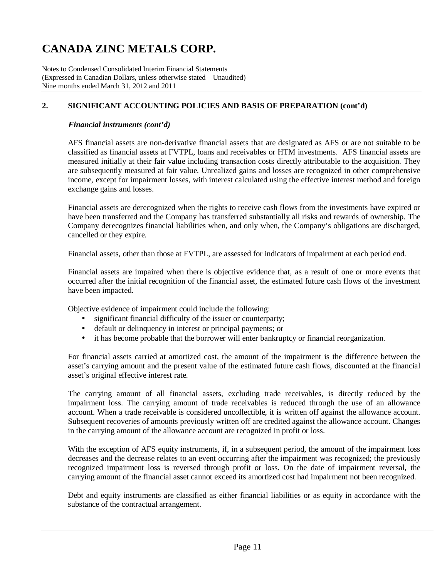Notes to Condensed Consolidated Interim Financial Statements (Expressed in Canadian Dollars, unless otherwise stated – Unaudited) Nine months ended March 31, 2012 and 2011

### **2. SIGNIFICANT ACCOUNTING POLICIES AND BASIS OF PREPARATION (cont'd)**

#### *Financial instruments (cont'd)*

AFS financial assets are non-derivative financial assets that are designated as AFS or are not suitable to be classified as financial assets at FVTPL, loans and receivables or HTM investments. AFS financial assets are measured initially at their fair value including transaction costs directly attributable to the acquisition. They are subsequently measured at fair value. Unrealized gains and losses are recognized in other comprehensive income, except for impairment losses, with interest calculated using the effective interest method and foreign exchange gains and losses.

Financial assets are derecognized when the rights to receive cash flows from the investments have expired or have been transferred and the Company has transferred substantially all risks and rewards of ownership. The Company derecognizes financial liabilities when, and only when, the Company's obligations are discharged, cancelled or they expire.

Financial assets, other than those at FVTPL, are assessed for indicators of impairment at each period end.

Financial assets are impaired when there is objective evidence that, as a result of one or more events that occurred after the initial recognition of the financial asset, the estimated future cash flows of the investment have been impacted.

Objective evidence of impairment could include the following:

- significant financial difficulty of the issuer or counterparty;
- default or delinquency in interest or principal payments; or
- it has become probable that the borrower will enter bankruptcy or financial reorganization.

For financial assets carried at amortized cost, the amount of the impairment is the difference between the asset's carrying amount and the present value of the estimated future cash flows, discounted at the financial asset's original effective interest rate.

The carrying amount of all financial assets, excluding trade receivables, is directly reduced by the impairment loss. The carrying amount of trade receivables is reduced through the use of an allowance account. When a trade receivable is considered uncollectible, it is written off against the allowance account. Subsequent recoveries of amounts previously written off are credited against the allowance account. Changes in the carrying amount of the allowance account are recognized in profit or loss.

With the exception of AFS equity instruments, if, in a subsequent period, the amount of the impairment loss decreases and the decrease relates to an event occurring after the impairment was recognized; the previously recognized impairment loss is reversed through profit or loss. On the date of impairment reversal, the carrying amount of the financial asset cannot exceed its amortized cost had impairment not been recognized.

Debt and equity instruments are classified as either financial liabilities or as equity in accordance with the substance of the contractual arrangement.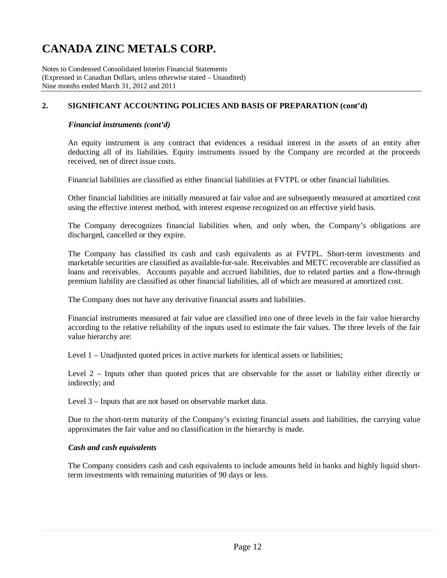Notes to Condensed Consolidated Interim Financial Statements (Expressed in Canadian Dollars, unless otherwise stated – Unaudited) Nine months ended March 31, 2012 and 2011

### **2. SIGNIFICANT ACCOUNTING POLICIES AND BASIS OF PREPARATION (cont'd)**

#### *Financial instruments (cont'd)*

An equity instrument is any contract that evidences a residual interest in the assets of an entity after deducting all of its liabilities. Equity instruments issued by the Company are recorded at the proceeds received, net of direct issue costs.

Financial liabilities are classified as either financial liabilities at FVTPL or other financial liabilities.

Other financial liabilities are initially measured at fair value and are subsequently measured at amortized cost using the effective interest method, with interest expense recognized on an effective yield basis.

The Company derecognizes financial liabilities when, and only when, the Company's obligations are discharged, cancelled or they expire.

The Company has classified its cash and cash equivalents as at FVTPL. Short-term investments and marketable securities are classified as available-for-sale. Receivables and METC recoverable are classified as loans and receivables. Accounts payable and accrued liabilities, due to related parties and a flow-through premium liability are classified as other financial liabilities, all of which are measured at amortized cost.

The Company does not have any derivative financial assets and liabilities.

Financial instruments measured at fair value are classified into one of three levels in the fair value hierarchy according to the relative reliability of the inputs used to estimate the fair values. The three levels of the fair value hierarchy are:

Level 1 – Unadjusted quoted prices in active markets for identical assets or liabilities;

Level 2 – Inputs other than quoted prices that are observable for the asset or liability either directly or indirectly; and

Level 3 – Inputs that are not based on observable market data.

Due to the short-term maturity of the Company's existing financial assets and liabilities, the carrying value approximates the fair value and no classification in the hierarchy is made.

#### *Cash and cash equivalents*

The Company considers cash and cash equivalents to include amounts held in banks and highly liquid shortterm investments with remaining maturities of 90 days or less.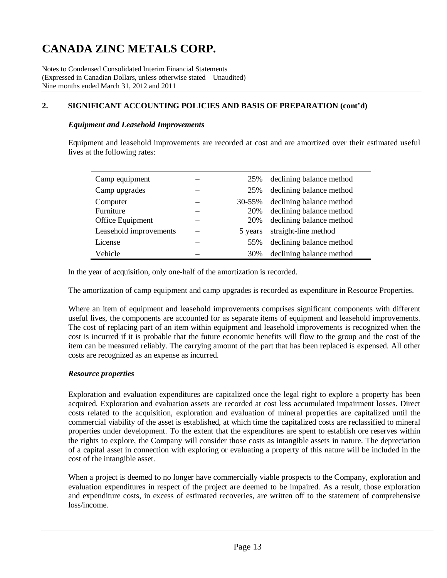Notes to Condensed Consolidated Interim Financial Statements (Expressed in Canadian Dollars, unless otherwise stated – Unaudited) Nine months ended March 31, 2012 and 2011

### **2. SIGNIFICANT ACCOUNTING POLICIES AND BASIS OF PREPARATION (cont'd)**

#### *Equipment and Leasehold Improvements*

Equipment and leasehold improvements are recorded at cost and are amortized over their estimated useful lives at the following rates:

| Camp equipment         | 25%     | declining balance method |
|------------------------|---------|--------------------------|
| Camp upgrades          | 25%     | declining balance method |
| Computer               | 30-55%  | declining balance method |
| Furniture              | 20%     | declining balance method |
| Office Equipment       | 20%     | declining balance method |
| Leasehold improvements | 5 years | straight-line method     |
| License                | 55%     | declining balance method |
| Vehicle                | 30%     | declining balance method |

In the year of acquisition, only one-half of the amortization is recorded.

The amortization of camp equipment and camp upgrades is recorded as expenditure in Resource Properties.

Where an item of equipment and leasehold improvements comprises significant components with different useful lives, the components are accounted for as separate items of equipment and leasehold improvements. The cost of replacing part of an item within equipment and leasehold improvements is recognized when the cost is incurred if it is probable that the future economic benefits will flow to the group and the cost of the item can be measured reliably. The carrying amount of the part that has been replaced is expensed. All other costs are recognized as an expense as incurred.

### *Resource properties*

Exploration and evaluation expenditures are capitalized once the legal right to explore a property has been acquired. Exploration and evaluation assets are recorded at cost less accumulated impairment losses. Direct costs related to the acquisition, exploration and evaluation of mineral properties are capitalized until the commercial viability of the asset is established, at which time the capitalized costs are reclassified to mineral properties under development. To the extent that the expenditures are spent to establish ore reserves within the rights to explore, the Company will consider those costs as intangible assets in nature. The depreciation of a capital asset in connection with exploring or evaluating a property of this nature will be included in the cost of the intangible asset.

When a project is deemed to no longer have commercially viable prospects to the Company, exploration and evaluation expenditures in respect of the project are deemed to be impaired. As a result, those exploration and expenditure costs, in excess of estimated recoveries, are written off to the statement of comprehensive loss/income.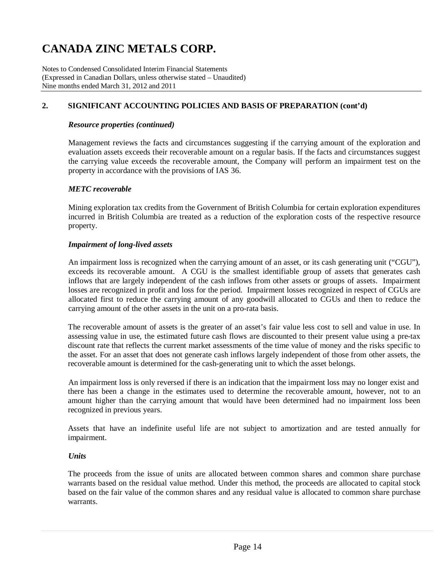Notes to Condensed Consolidated Interim Financial Statements (Expressed in Canadian Dollars, unless otherwise stated – Unaudited) Nine months ended March 31, 2012 and 2011

### **2. SIGNIFICANT ACCOUNTING POLICIES AND BASIS OF PREPARATION (cont'd)**

#### *Resource properties (continued)*

Management reviews the facts and circumstances suggesting if the carrying amount of the exploration and evaluation assets exceeds their recoverable amount on a regular basis. If the facts and circumstances suggest the carrying value exceeds the recoverable amount, the Company will perform an impairment test on the property in accordance with the provisions of IAS 36.

#### *METC recoverable*

Mining exploration tax credits from the Government of British Columbia for certain exploration expenditures incurred in British Columbia are treated as a reduction of the exploration costs of the respective resource property.

#### *Impairment of long-lived assets*

An impairment loss is recognized when the carrying amount of an asset, or its cash generating unit ("CGU"), exceeds its recoverable amount. A CGU is the smallest identifiable group of assets that generates cash inflows that are largely independent of the cash inflows from other assets or groups of assets. Impairment losses are recognized in profit and loss for the period. Impairment losses recognized in respect of CGUs are allocated first to reduce the carrying amount of any goodwill allocated to CGUs and then to reduce the carrying amount of the other assets in the unit on a pro-rata basis.

The recoverable amount of assets is the greater of an asset's fair value less cost to sell and value in use. In assessing value in use, the estimated future cash flows are discounted to their present value using a pre-tax discount rate that reflects the current market assessments of the time value of money and the risks specific to the asset. For an asset that does not generate cash inflows largely independent of those from other assets, the recoverable amount is determined for the cash-generating unit to which the asset belongs.

An impairment loss is only reversed if there is an indication that the impairment loss may no longer exist and there has been a change in the estimates used to determine the recoverable amount, however, not to an amount higher than the carrying amount that would have been determined had no impairment loss been recognized in previous years.

Assets that have an indefinite useful life are not subject to amortization and are tested annually for impairment.

#### *Units*

The proceeds from the issue of units are allocated between common shares and common share purchase warrants based on the residual value method. Under this method, the proceeds are allocated to capital stock based on the fair value of the common shares and any residual value is allocated to common share purchase warrants.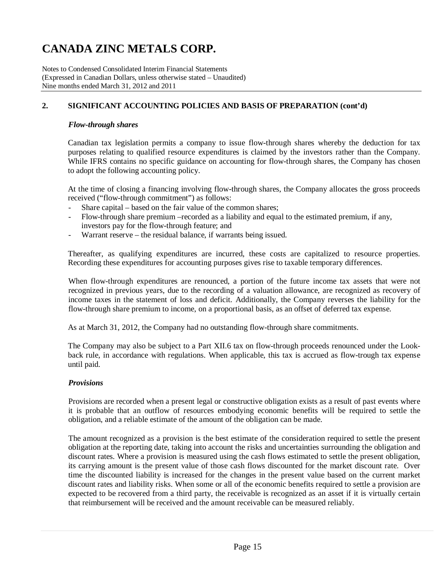Notes to Condensed Consolidated Interim Financial Statements (Expressed in Canadian Dollars, unless otherwise stated – Unaudited) Nine months ended March 31, 2012 and 2011

### **2. SIGNIFICANT ACCOUNTING POLICIES AND BASIS OF PREPARATION (cont'd)**

#### *Flow-through shares*

Canadian tax legislation permits a company to issue flow-through shares whereby the deduction for tax purposes relating to qualified resource expenditures is claimed by the investors rather than the Company. While IFRS contains no specific guidance on accounting for flow-through shares, the Company has chosen to adopt the following accounting policy.

At the time of closing a financing involving flow-through shares, the Company allocates the gross proceeds received ("flow-through commitment") as follows:

- Share capital based on the fair value of the common shares;
- Flow-through share premium –recorded as a liability and equal to the estimated premium, if any, investors pay for the flow-through feature; and
- Warrant reserve the residual balance, if warrants being issued.

Thereafter, as qualifying expenditures are incurred, these costs are capitalized to resource properties. Recording these expenditures for accounting purposes gives rise to taxable temporary differences.

When flow-through expenditures are renounced, a portion of the future income tax assets that were not recognized in previous years, due to the recording of a valuation allowance, are recognized as recovery of income taxes in the statement of loss and deficit. Additionally, the Company reverses the liability for the flow-through share premium to income, on a proportional basis, as an offset of deferred tax expense.

As at March 31, 2012, the Company had no outstanding flow-through share commitments.

The Company may also be subject to a Part XII.6 tax on flow-through proceeds renounced under the Lookback rule, in accordance with regulations. When applicable, this tax is accrued as flow-trough tax expense until paid.

### *Provisions*

Provisions are recorded when a present legal or constructive obligation exists as a result of past events where it is probable that an outflow of resources embodying economic benefits will be required to settle the obligation, and a reliable estimate of the amount of the obligation can be made.

The amount recognized as a provision is the best estimate of the consideration required to settle the present obligation at the reporting date, taking into account the risks and uncertainties surrounding the obligation and discount rates. Where a provision is measured using the cash flows estimated to settle the present obligation, its carrying amount is the present value of those cash flows discounted for the market discount rate. Over time the discounted liability is increased for the changes in the present value based on the current market discount rates and liability risks. When some or all of the economic benefits required to settle a provision are expected to be recovered from a third party, the receivable is recognized as an asset if it is virtually certain that reimbursement will be received and the amount receivable can be measured reliably.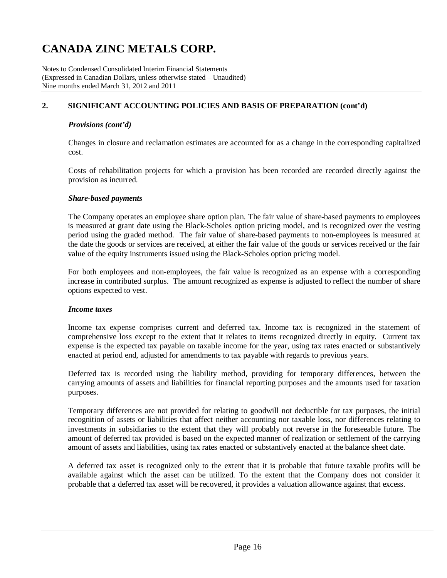Notes to Condensed Consolidated Interim Financial Statements (Expressed in Canadian Dollars, unless otherwise stated – Unaudited) Nine months ended March 31, 2012 and 2011

### **2. SIGNIFICANT ACCOUNTING POLICIES AND BASIS OF PREPARATION (cont'd)**

### *Provisions (cont'd)*

Changes in closure and reclamation estimates are accounted for as a change in the corresponding capitalized cost.

Costs of rehabilitation projects for which a provision has been recorded are recorded directly against the provision as incurred.

### *Share-based payments*

The Company operates an employee share option plan. The fair value of share-based payments to employees is measured at grant date using the Black-Scholes option pricing model, and is recognized over the vesting period using the graded method. The fair value of share-based payments to non-employees is measured at the date the goods or services are received, at either the fair value of the goods or services received or the fair value of the equity instruments issued using the Black-Scholes option pricing model.

For both employees and non-employees, the fair value is recognized as an expense with a corresponding increase in contributed surplus. The amount recognized as expense is adjusted to reflect the number of share options expected to vest.

#### *Income taxes*

Income tax expense comprises current and deferred tax. Income tax is recognized in the statement of comprehensive loss except to the extent that it relates to items recognized directly in equity. Current tax expense is the expected tax payable on taxable income for the year, using tax rates enacted or substantively enacted at period end, adjusted for amendments to tax payable with regards to previous years.

Deferred tax is recorded using the liability method, providing for temporary differences, between the carrying amounts of assets and liabilities for financial reporting purposes and the amounts used for taxation purposes.

Temporary differences are not provided for relating to goodwill not deductible for tax purposes, the initial recognition of assets or liabilities that affect neither accounting nor taxable loss, nor differences relating to investments in subsidiaries to the extent that they will probably not reverse in the foreseeable future. The amount of deferred tax provided is based on the expected manner of realization or settlement of the carrying amount of assets and liabilities, using tax rates enacted or substantively enacted at the balance sheet date.

A deferred tax asset is recognized only to the extent that it is probable that future taxable profits will be available against which the asset can be utilized. To the extent that the Company does not consider it probable that a deferred tax asset will be recovered, it provides a valuation allowance against that excess.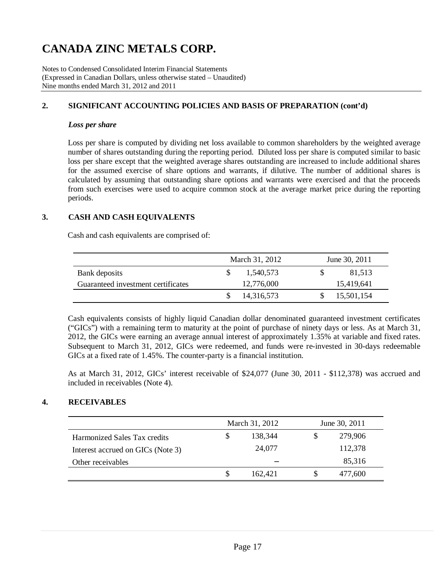Notes to Condensed Consolidated Interim Financial Statements (Expressed in Canadian Dollars, unless otherwise stated – Unaudited) Nine months ended March 31, 2012 and 2011

### **2. SIGNIFICANT ACCOUNTING POLICIES AND BASIS OF PREPARATION (cont'd)**

#### *Loss per share*

Loss per share is computed by dividing net loss available to common shareholders by the weighted average number of shares outstanding during the reporting period. Diluted loss per share is computed similar to basic loss per share except that the weighted average shares outstanding are increased to include additional shares for the assumed exercise of share options and warrants, if dilutive. The number of additional shares is calculated by assuming that outstanding share options and warrants were exercised and that the proceeds from such exercises were used to acquire common stock at the average market price during the reporting periods.

### **3. CASH AND CASH EQUIVALENTS**

Cash and cash equivalents are comprised of:

|                                    | March 31, 2012 | June 30, 2011 |
|------------------------------------|----------------|---------------|
| Bank deposits                      | 1.540.573      | 81,513        |
| Guaranteed investment certificates | 12,776,000     | 15,419,641    |
|                                    | 14,316,573     | 15,501,154    |

Cash equivalents consists of highly liquid Canadian dollar denominated guaranteed investment certificates ("GICs") with a remaining term to maturity at the point of purchase of ninety days or less. As at March 31, 2012, the GICs were earning an average annual interest of approximately 1.35% at variable and fixed rates. Subsequent to March 31, 2012, GICs were redeemed, and funds were re-invested in 30-days redeemable GICs at a fixed rate of 1.45%. The counter-party is a financial institution.

As at March 31, 2012, GICs' interest receivable of \$24,077 (June 30, 2011 - \$112,378) was accrued and included in receivables (Note 4).

### **4. RECEIVABLES**

|                                     |   | March 31, 2012 | June 30, 2011 |         |  |  |
|-------------------------------------|---|----------------|---------------|---------|--|--|
| <b>Harmonized Sales Tax credits</b> | S | 138.344        |               | 279,906 |  |  |
| Interest accrued on GICs (Note 3)   |   | 24,077         |               | 112,378 |  |  |
| Other receivables                   |   |                |               | 85,316  |  |  |
|                                     | S | 162.421        |               | 477,600 |  |  |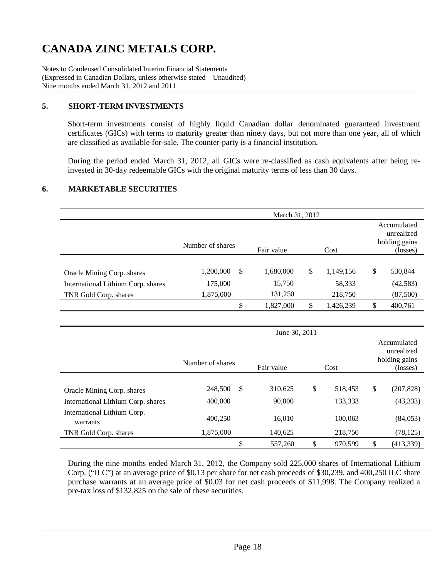Notes to Condensed Consolidated Interim Financial Statements (Expressed in Canadian Dollars, unless otherwise stated – Unaudited) Nine months ended March 31, 2012 and 2011

### **5. SHORT-TERM INVESTMENTS**

Short-term investments consist of highly liquid Canadian dollar denominated guaranteed investment certificates (GICs) with terms to maturity greater than ninety days, but not more than one year, all of which are classified as available-for-sale. The counter-party is a financial institution.

During the period ended March 31, 2012, all GICs were re-classified as cash equivalents after being reinvested in 30-day redeemable GICs with the original maturity terms of less than 30 days.

### **6. MARKETABLE SECURITIES**

|                                    | March 31, 2012   |            |   |                                            |    |           |  |  |  |  |  |
|------------------------------------|------------------|------------|---|--------------------------------------------|----|-----------|--|--|--|--|--|
|                                    |                  |            |   | Accumulated<br>unrealized<br>holding gains |    |           |  |  |  |  |  |
|                                    | Number of shares | Fair value |   | Cost                                       |    | (losses)  |  |  |  |  |  |
|                                    |                  |            |   |                                            |    |           |  |  |  |  |  |
| Oracle Mining Corp. shares         | 1,200,000<br>S   | 1,680,000  | S | 1,149,156                                  | \$ | 530,844   |  |  |  |  |  |
| International Lithium Corp. shares | 175,000          | 15,750     |   | 58,333                                     |    | (42, 583) |  |  |  |  |  |
| TNR Gold Corp. shares              | 1,875,000        | 131,250    |   | 218,750                                    |    | (87,500)  |  |  |  |  |  |
|                                    | \$               | 1,827,000  | S | 1,426,239                                  | \$ | 400,761   |  |  |  |  |  |

|                                         | Number of shares | Fair value    | Cost          |    | Accumulated<br>unrealized<br>holding gains<br>(losses) |
|-----------------------------------------|------------------|---------------|---------------|----|--------------------------------------------------------|
|                                         |                  |               |               |    |                                                        |
| Oracle Mining Corp. shares              | 248,500          | \$<br>310,625 | \$<br>518,453 | \$ | (207, 828)                                             |
| International Lithium Corp. shares      | 400,000          | 90,000        | 133,333       |    | (43, 333)                                              |
| International Lithium Corp.<br>warrants | 400,250          | 16,010        | 100,063       |    | (84,053)                                               |
| TNR Gold Corp. shares                   | 1,875,000        | 140,625       | 218,750       |    | (78, 125)                                              |
|                                         |                  | \$<br>557,260 | \$<br>970,599 | S  | (413, 339)                                             |

During the nine months ended March 31, 2012, the Company sold 225,000 shares of International Lithium Corp. ("ILC") at an average price of \$0.13 per share for net cash proceeds of \$30,239, and 400,250 ILC share purchase warrants at an average price of \$0.03 for net cash proceeds of \$11,998. The Company realized a pre-tax loss of \$132,825 on the sale of these securities.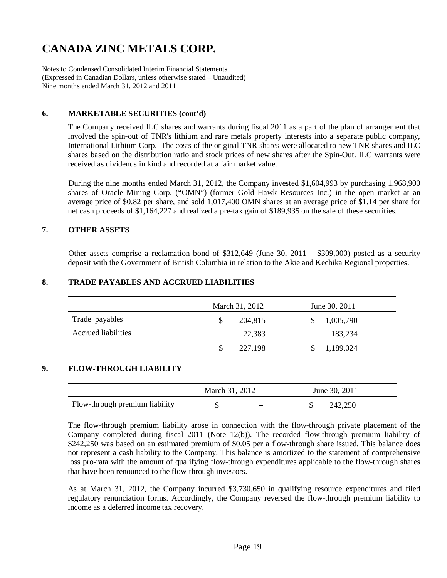Notes to Condensed Consolidated Interim Financial Statements (Expressed in Canadian Dollars, unless otherwise stated – Unaudited) Nine months ended March 31, 2012 and 2011

### **6. MARKETABLE SECURITIES (cont'd)**

The Company received ILC shares and warrants during fiscal 2011 as a part of the plan of arrangement that involved the spin-out of TNR's lithium and rare metals property interests into a separate public company, International Lithium Corp. The costs of the original TNR shares were allocated to new TNR shares and ILC shares based on the distribution ratio and stock prices of new shares after the Spin-Out. ILC warrants were received as dividends in kind and recorded at a fair market value.

During the nine months ended March 31, 2012, the Company invested \$1,604,993 by purchasing 1,968,900 shares of Oracle Mining Corp. ("OMN") (former Gold Hawk Resources Inc.) in the open market at an average price of \$0.82 per share, and sold 1,017,400 OMN shares at an average price of \$1.14 per share for net cash proceeds of \$1,164,227 and realized a pre-tax gain of \$189,935 on the sale of these securities.

### **7. OTHER ASSETS**

Other assets comprise a reclamation bond of \$312,649 (June 30, 2011 – \$309,000) posted as a security deposit with the Government of British Columbia in relation to the Akie and Kechika Regional properties.

#### **8. TRADE PAYABLES AND ACCRUED LIABILITIES**

|                            | March 31, 2012 | June 30, 2011 |  |
|----------------------------|----------------|---------------|--|
| Trade payables             | 204,815<br>S   | 1,005,790     |  |
| <b>Accrued liabilities</b> | 22,383         | 183,234       |  |
|                            | 227,198        | 1,189,024     |  |

#### **9. FLOW-THROUGH LIABILITY**

|                                | March 31, 2012 |                          | June 30, 2011 |  |
|--------------------------------|----------------|--------------------------|---------------|--|
| Flow-through premium liability | ٠D             | $\overline{\phantom{0}}$ | 242,250       |  |

The flow-through premium liability arose in connection with the flow-through private placement of the Company completed during fiscal 2011 (Note 12(b)). The recorded flow-through premium liability of \$242,250 was based on an estimated premium of \$0.05 per a flow-through share issued. This balance does not represent a cash liability to the Company. This balance is amortized to the statement of comprehensive loss pro-rata with the amount of qualifying flow-through expenditures applicable to the flow-through shares that have been renounced to the flow-through investors.

As at March 31, 2012, the Company incurred \$3,730,650 in qualifying resource expenditures and filed regulatory renunciation forms. Accordingly, the Company reversed the flow-through premium liability to income as a deferred income tax recovery.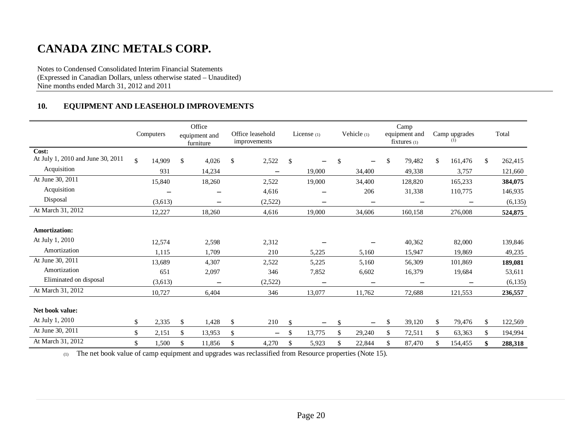Notes to Condensed Consolidated Interim Financial Statements (Expressed in Canadian Dollars, unless otherwise stated – Unaudited) Nine months ended March 31, 2012 and 2011

### **10. EQUIPMENT AND LEASEHOLD IMPROVEMENTS**

|                                                            | Computers                | Office<br>equipment and<br>furniture | Office leasehold<br>improvements | License $(1)$                      | Vehicle (1)                    | Camp<br>equipment and<br>$fixtures_{(1)}$ |     | Camp upgrades<br>(1)        | Total                       |
|------------------------------------------------------------|--------------------------|--------------------------------------|----------------------------------|------------------------------------|--------------------------------|-------------------------------------------|-----|-----------------------------|-----------------------------|
| Cost:<br>At July 1, 2010 and June 30, 2011                 | \$<br>14,909             | \$<br>4,026                          | \$<br>2,522                      | \$                                 | \$                             | \$<br>79,482                              | \$  | 161,476                     | \$<br>262,415               |
| Acquisition                                                | 931                      | 14,234                               | $\qquad \qquad =$                | 19,000                             | 34,400                         | 49,338                                    |     | 3,757                       | 121,660                     |
| At June 30, 2011                                           | 15,840                   | 18,260                               | 2,522                            | 19,000                             | 34,400                         | 128,820                                   |     | 165,233                     | 384,075                     |
| Acquisition                                                |                          |                                      | 4,616                            |                                    | 206                            | 31,338                                    |     | 110,775                     | 146,935                     |
| Disposal                                                   | (3,613)                  | $\overline{\phantom{m}}$             | (2,522)                          | $\overline{\phantom{m}}$           | —                              |                                           |     | $\overline{\phantom{0}}$    | (6, 135)                    |
| At March 31, 2012                                          | 12,227                   | 18,260                               | 4,616                            | 19,000                             | 34,606                         | 160,158                                   |     | 276,008                     | 524,875                     |
| <b>Amortization:</b><br>At July 1, 2010                    |                          |                                      |                                  |                                    |                                |                                           |     |                             |                             |
| Amortization                                               | 12,574<br>1.115          | 2,598<br>1.709                       | 2,312                            |                                    |                                | 40,362                                    |     | 82,000                      | 139,846                     |
| At June 30, 2011<br>Amortization<br>Eliminated on disposal | 13,689<br>651<br>(3,613) | 4,307<br>2,097                       | 210<br>2,522<br>346<br>(2,522)   | 5,225<br>5,225<br>7,852            | 5,160<br>5,160<br>6,602        | 15,947<br>56,309<br>16,379                |     | 19,869<br>101,869<br>19,684 | 49,235<br>189,081<br>53,611 |
| At March 31, 2012                                          | 10,727                   | $\overline{\phantom{m}}$<br>6,404    | 346                              | $\overline{\phantom{m}}$<br>13,077 | 11,762                         | 72,688                                    |     | 121,553                     | (6,135)<br>236,557          |
| Net book value:                                            |                          |                                      |                                  |                                    |                                |                                           |     |                             |                             |
| At July 1, 2010                                            | \$<br>2,335              | \$<br>1,428                          | \$<br>210                        | \$<br>$\qquad \qquad$              | \$<br>$\overline{\phantom{0}}$ | \$<br>39,120                              | \$  | 79,476                      | \$<br>122,569               |
| At June 30, 2011                                           | \$<br>2,151              | \$<br>13,953                         | \$<br>$\overline{\phantom{0}}$   | \$<br>13,775                       | \$<br>29,240                   | \$<br>72,511                              | \$  | 63,363                      | \$<br>194,994               |
| At March 31, 2012                                          | \$<br>1,500              | \$<br>11,856                         | \$<br>4,270                      | \$<br>5,923                        | \$<br>22,844                   | \$<br>87,470                              | \$. | 154,455                     | \$<br>288,318               |

(1) The net book value of camp equipment and upgrades was reclassified from Resource properties (Note 15).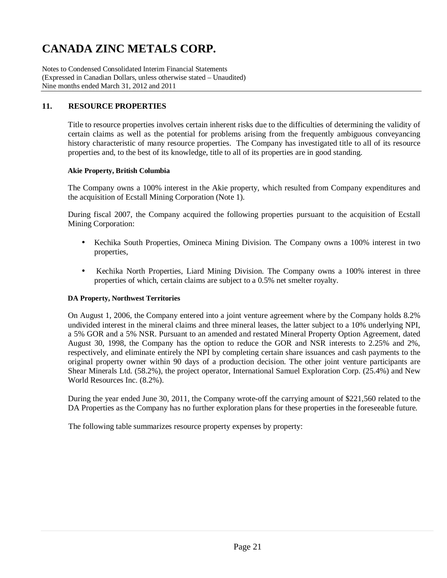Notes to Condensed Consolidated Interim Financial Statements (Expressed in Canadian Dollars, unless otherwise stated – Unaudited) Nine months ended March 31, 2012 and 2011

### **11. RESOURCE PROPERTIES**

Title to resource properties involves certain inherent risks due to the difficulties of determining the validity of certain claims as well as the potential for problems arising from the frequently ambiguous conveyancing history characteristic of many resource properties. The Company has investigated title to all of its resource properties and, to the best of its knowledge, title to all of its properties are in good standing.

#### **Akie Property, British Columbia**

The Company owns a 100% interest in the Akie property, which resulted from Company expenditures and the acquisition of Ecstall Mining Corporation (Note 1).

During fiscal 2007, the Company acquired the following properties pursuant to the acquisition of Ecstall Mining Corporation:

- Kechika South Properties, Omineca Mining Division. The Company owns a 100% interest in two properties,
- Kechika North Properties, Liard Mining Division. The Company owns a 100% interest in three properties of which, certain claims are subject to a 0.5% net smelter royalty.

### **DA Property, Northwest Territories**

On August 1, 2006, the Company entered into a joint venture agreement where by the Company holds 8.2% undivided interest in the mineral claims and three mineral leases, the latter subject to a 10% underlying NPI, a 5% GOR and a 5% NSR. Pursuant to an amended and restated Mineral Property Option Agreement, dated August 30, 1998, the Company has the option to reduce the GOR and NSR interests to 2.25% and 2%, respectively, and eliminate entirely the NPI by completing certain share issuances and cash payments to the original property owner within 90 days of a production decision. The other joint venture participants are Shear Minerals Ltd. (58.2%), the project operator, International Samuel Exploration Corp. (25.4%) and New World Resources Inc. (8.2%).

During the year ended June 30, 2011, the Company wrote-off the carrying amount of \$221,560 related to the DA Properties as the Company has no further exploration plans for these properties in the foreseeable future.

The following table summarizes resource property expenses by property: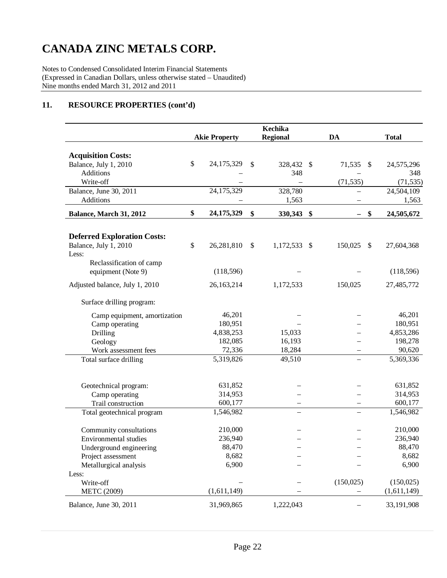Notes to Condensed Consolidated Interim Financial Statements (Expressed in Canadian Dollars, unless otherwise stated – Unaudited) Nine months ended March 31, 2012 and 2011

## **11. RESOURCE PROPERTIES (cont'd)**

|                                           |                      | <b>Kechika</b>  |                                |              |
|-------------------------------------------|----------------------|-----------------|--------------------------------|--------------|
|                                           | <b>Akie Property</b> | <b>Regional</b> | <b>DA</b>                      | <b>Total</b> |
|                                           |                      |                 |                                |              |
| <b>Acquisition Costs:</b>                 | \$<br>24,175,329     | 328,432 \$      |                                |              |
| Balance, July 1, 2010<br><b>Additions</b> |                      | \$              | 71,535<br><sup>\$</sup>        | 24,575,296   |
| Write-off                                 |                      | 348             |                                | 348          |
|                                           | 24,175,329           |                 | (71, 535)                      | (71, 535)    |
| Balance, June 30, 2011<br>Additions       |                      | 328,780         |                                | 24,504,109   |
|                                           |                      | 1,563           |                                | 1,563        |
| Balance, March 31, 2012                   | \$<br>24, 175, 329   | \$<br>330,343   | \$<br>\$                       | 24,505,672   |
|                                           |                      |                 |                                |              |
| <b>Deferred Exploration Costs:</b>        |                      |                 |                                |              |
| Balance, July 1, 2010                     | \$<br>26,281,810     | \$<br>1,172,533 | \$<br>150,025<br>$\mathcal{S}$ | 27,604,368   |
| Less:                                     |                      |                 |                                |              |
| Reclassification of camp                  |                      |                 |                                |              |
| equipment (Note 9)                        | (118, 596)           |                 |                                | (118, 596)   |
| Adjusted balance, July 1, 2010            | 26,163,214           | 1,172,533       | 150,025                        | 27,485,772   |
| Surface drilling program:                 |                      |                 |                                |              |
| Camp equipment, amortization              | 46,201               |                 |                                | 46,201       |
| Camp operating                            | 180,951              |                 |                                | 180,951      |
| Drilling                                  | 4,838,253            | 15,033          |                                | 4,853,286    |
| Geology                                   | 182,085              | 16,193          |                                | 198,278      |
| Work assessment fees                      | 72,336               | 18,284          |                                | 90,620       |
| Total surface drilling                    | 5,319,826            | 49,510          | $\overline{\phantom{0}}$       | 5,369,336    |
|                                           |                      |                 |                                |              |
| Geotechnical program:                     | 631,852              |                 |                                | 631,852      |
| Camp operating                            | 314,953              |                 |                                | 314,953      |
| Trail construction                        | 600,177              |                 |                                | 600,177      |
| Total geotechnical program                | 1,546,982            |                 |                                | 1,546,982    |
| Community consultations                   | 210,000              |                 |                                | 210,000      |
| Environmental studies                     | 236,940              |                 |                                | 236,940      |
| Underground engineering                   | 88,470               |                 |                                | 88,470       |
| Project assessment                        | 8,682                |                 |                                | 8,682        |
| Metallurgical analysis                    | 6,900                |                 |                                | 6,900        |
| Less:                                     |                      |                 |                                |              |
| Write-off                                 |                      |                 | (150, 025)                     | (150, 025)   |
| <b>METC</b> (2009)                        | (1,611,149)          |                 |                                | (1,611,149)  |
| Balance, June 30, 2011                    | 31,969,865           | 1,222,043       |                                | 33,191,908   |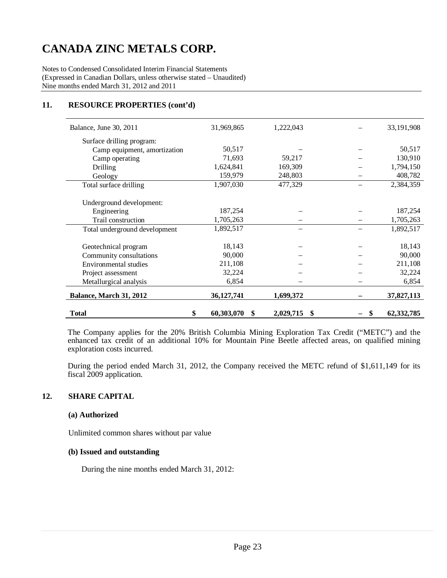Notes to Condensed Consolidated Interim Financial Statements (Expressed in Canadian Dollars, unless otherwise stated – Unaudited) Nine months ended March 31, 2012 and 2011

### **11. RESOURCE PROPERTIES (cont'd)**

| Balance, June 30, 2011        | 31,969,865       | 1,222,043      | 33,191,908               |
|-------------------------------|------------------|----------------|--------------------------|
| Surface drilling program:     |                  |                |                          |
| Camp equipment, amortization  | 50,517           |                | 50,517                   |
| Camp operating                | 71,693           | 59,217         | 130,910                  |
| Drilling                      | 1,624,841        | 169,309        | 1,794,150                |
| Geology                       | 159,979          | 248,803        | 408,782                  |
| Total surface drilling        | 1,907,030        | 477,329        | 2,384,359                |
|                               |                  |                |                          |
| Underground development:      |                  |                |                          |
| Engineering                   | 187,254          |                | 187,254                  |
| Trail construction            | 1,705,263        |                | 1,705,263                |
| Total underground development | 1,892,517        |                | 1,892,517                |
|                               |                  |                |                          |
| Geotechnical program          | 18,143           |                | 18,143                   |
| Community consultations       | 90,000           |                | 90,000                   |
| Environmental studies         | 211,108          |                | 211,108                  |
| Project assessment            | 32,224           |                | 32,224                   |
| Metallurgical analysis        | 6,854            |                | 6,854                    |
| Balance, March 31, 2012       | 36, 127, 741     | 1,699,372      | 37,827,113               |
| Total                         | \$<br>60,303,070 | 2,029,715<br>S | \$<br>62, 332, 785<br>\$ |

The Company applies for the 20% British Columbia Mining Exploration Tax Credit ("METC") and the enhanced tax credit of an additional 10% for Mountain Pine Beetle affected areas, on qualified mining exploration costs incurred.

During the period ended March 31, 2012, the Company received the METC refund of \$1,611,149 for its fiscal 2009 application.

#### **12. SHARE CAPITAL**

#### **(a) Authorized**

Unlimited common shares without par value

### **(b) Issued and outstanding**

During the nine months ended March 31, 2012: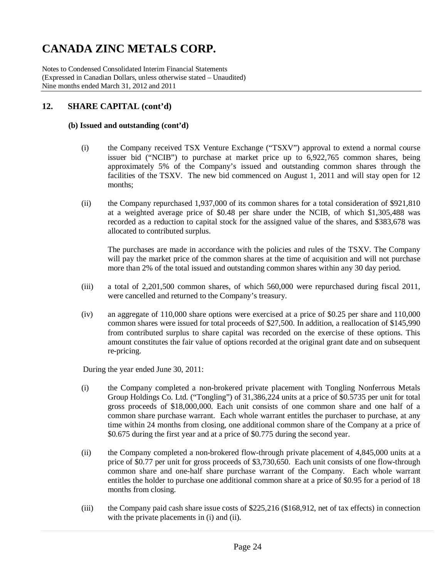Notes to Condensed Consolidated Interim Financial Statements (Expressed in Canadian Dollars, unless otherwise stated – Unaudited) Nine months ended March 31, 2012 and 2011

## **12. SHARE CAPITAL (cont'd)**

### **(b) Issued and outstanding (cont'd)**

- (i) the Company received TSX Venture Exchange ("TSXV") approval to extend a normal course issuer bid ("NCIB") to purchase at market price up to 6,922,765 common shares, being approximately 5% of the Company's issued and outstanding common shares through the facilities of the TSXV. The new bid commenced on August 1, 2011 and will stay open for 12 months;
- (ii) the Company repurchased 1,937,000 of its common shares for a total consideration of \$921,810 at a weighted average price of \$0.48 per share under the NCIB, of which \$1,305,488 was recorded as a reduction to capital stock for the assigned value of the shares, and \$383,678 was allocated to contributed surplus.

The purchases are made in accordance with the policies and rules of the TSXV. The Company will pay the market price of the common shares at the time of acquisition and will not purchase more than 2% of the total issued and outstanding common shares within any 30 day period.

- (iii) a total of 2,201,500 common shares, of which 560,000 were repurchased during fiscal 2011, were cancelled and returned to the Company's treasury.
- (iv) an aggregate of 110,000 share options were exercised at a price of \$0.25 per share and 110,000 common shares were issued for total proceeds of \$27,500. In addition, a reallocation of \$145,990 from contributed surplus to share capital was recorded on the exercise of these options. This amount constitutes the fair value of options recorded at the original grant date and on subsequent re-pricing.

During the year ended June 30, 2011:

- (i) the Company completed a non-brokered private placement with Tongling Nonferrous Metals Group Holdings Co. Ltd. ("Tongling") of 31,386,224 units at a price of \$0.5735 per unit for total gross proceeds of \$18,000,000. Each unit consists of one common share and one half of a common share purchase warrant. Each whole warrant entitles the purchaser to purchase, at any time within 24 months from closing, one additional common share of the Company at a price of \$0.675 during the first year and at a price of \$0.775 during the second year.
- (ii) the Company completed a non-brokered flow-through private placement of 4,845,000 units at a price of \$0.77 per unit for gross proceeds of \$3,730,650. Each unit consists of one flow-through common share and one-half share purchase warrant of the Company. Each whole warrant entitles the holder to purchase one additional common share at a price of \$0.95 for a period of 18 months from closing.
- (iii) the Company paid cash share issue costs of \$225,216 (\$168,912, net of tax effects) in connection with the private placements in (i) and (ii).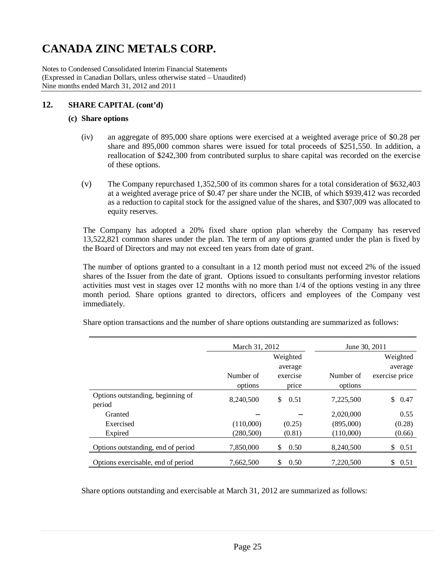Notes to Condensed Consolidated Interim Financial Statements (Expressed in Canadian Dollars, unless otherwise stated – Unaudited) Nine months ended March 31, 2012 and 2011

### **12. SHARE CAPITAL (cont'd)**

#### **(c) Share options**

- (iv) an aggregate of 895,000 share options were exercised at a weighted average price of \$0.28 per share and 895,000 common shares were issued for total proceeds of \$251,550. In addition, a reallocation of \$242,300 from contributed surplus to share capital was recorded on the exercise of these options.
- (v) The Company repurchased 1,352,500 of its common shares for a total consideration of \$632,403 at a weighted average price of \$0.47 per share under the NCIB, of which \$939,412 was recorded as a reduction to capital stock for the assigned value of the shares, and \$307,009 was allocated to equity reserves.

The Company has adopted a 20% fixed share option plan whereby the Company has reserved 13,522,821 common shares under the plan. The term of any options granted under the plan is fixed by the Board of Directors and may not exceed ten years from date of grant.

The number of options granted to a consultant in a 12 month period must not exceed 2% of the issued shares of the Issuer from the date of grant. Options issued to consultants performing investor relations activities must vest in stages over 12 months with no more than 1/4 of the options vesting in any three month period. Share options granted to directors, officers and employees of the Company vest immediately.

Share option transactions and the number of share options outstanding are summarized as follows:

|                                    | March 31, 2012 |            | June 30, 2011 |                |
|------------------------------------|----------------|------------|---------------|----------------|
|                                    |                | Weighted   |               | Weighted       |
|                                    |                | average    |               | average        |
|                                    | Number of      | exercise   | Number of     | exercise price |
|                                    | options        | price      | options       |                |
| Options outstanding, beginning of  | 8,240,500      | \$<br>0.51 | 7,225,500     | \$<br>0.47     |
| period                             |                |            |               |                |
| Granted                            |                |            | 2,020,000     | 0.55           |
| Exercised                          | (110,000)      | (0.25)     | (895,000)     | (0.28)         |
| Expired                            | (280, 500)     | (0.81)     | (110,000)     | (0.66)         |
| Options outstanding, end of period | 7,850,000      | \$<br>0.50 | 8,240,500     | \$<br>0.51     |
| Options exercisable, end of period | 7.662.500      | \$<br>0.50 | 7,220,500     | \$<br>0.51     |

Share options outstanding and exercisable at March 31, 2012 are summarized as follows: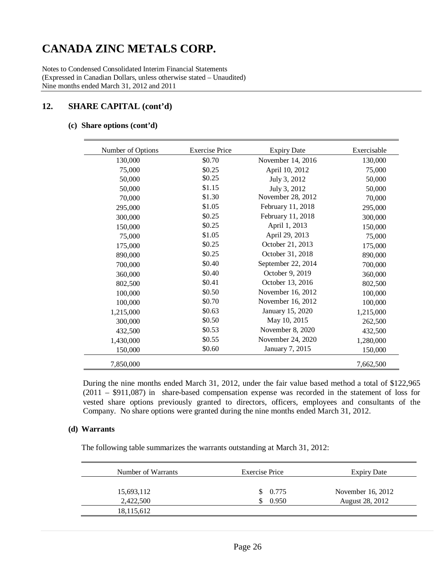Notes to Condensed Consolidated Interim Financial Statements (Expressed in Canadian Dollars, unless otherwise stated – Unaudited) Nine months ended March 31, 2012 and 2011

## **12. SHARE CAPITAL (cont'd)**

#### **(c) Share options (cont'd)**

| Number of Options | <b>Exercise Price</b> | <b>Expiry Date</b> | Exercisable |
|-------------------|-----------------------|--------------------|-------------|
| 130,000           | \$0.70                | November 14, 2016  | 130,000     |
| 75,000            | \$0.25                | April 10, 2012     | 75,000      |
| 50,000            | \$0.25                | July 3, 2012       | 50,000      |
| 50,000            | \$1.15                | July 3, 2012       | 50,000      |
| 70,000            | \$1.30                | November 28, 2012  | 70,000      |
| 295,000           | \$1.05                | February 11, 2018  | 295,000     |
| 300,000           | \$0.25                | February 11, 2018  | 300,000     |
| 150,000           | \$0.25                | April 1, 2013      | 150,000     |
| 75,000            | \$1.05                | April 29, 2013     | 75,000      |
| 175,000           | \$0.25                | October 21, 2013   | 175,000     |
| 890,000           | \$0.25                | October 31, 2018   | 890,000     |
| 700,000           | \$0.40                | September 22, 2014 | 700,000     |
| 360,000           | \$0.40                | October 9, 2019    | 360,000     |
| 802,500           | \$0.41                | October 13, 2016   | 802,500     |
| 100,000           | \$0.50                | November 16, 2012  | 100,000     |
| 100,000           | \$0.70                | November 16, 2012  | 100,000     |
| 1,215,000         | \$0.63                | January 15, 2020   | 1,215,000   |
| 300,000           | \$0.50                | May 10, 2015       | 262,500     |
| 432,500           | \$0.53                | November 8, 2020   | 432,500     |
| 1,430,000         | \$0.55                | November 24, 2020  | 1,280,000   |
| 150,000           | \$0.60                | January 7, 2015    | 150,000     |
| 7,850,000         |                       |                    | 7,662,500   |

During the nine months ended March 31, 2012, under the fair value based method a total of \$122,965 (2011 – \$911,087) in share-based compensation expense was recorded in the statement of loss for vested share options previously granted to directors, officers, employees and consultants of the Company. No share options were granted during the nine months ended March 31, 2012.

#### **(d) Warrants**

The following table summarizes the warrants outstanding at March 31, 2012:

| Number of Warrants | <b>Exercise Price</b> | <b>Expiry Date</b> |
|--------------------|-----------------------|--------------------|
| 15,693,112         | \$0.775               | November 16, 2012  |
| 2,422,500          | 0.950                 | August 28, 2012    |
| 18,115,612         |                       |                    |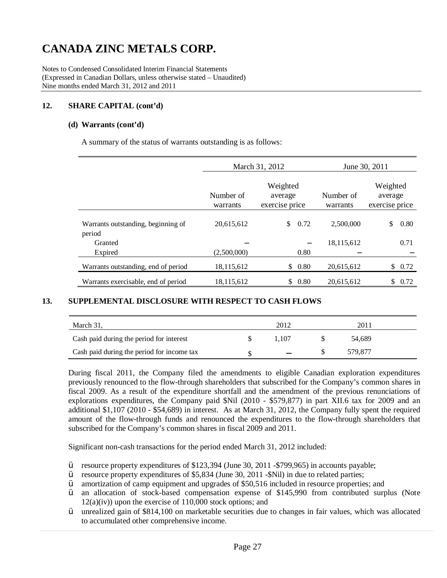Notes to Condensed Consolidated Interim Financial Statements (Expressed in Canadian Dollars, unless otherwise stated – Unaudited) Nine months ended March 31, 2012 and 2011

### **12. SHARE CAPITAL (cont'd)**

#### **(d) Warrants (cont'd)**

A summary of the status of warrants outstanding is as follows:

|                                              |                                                                | March 31, 2012 | June 30, 2011         |                                       |  |
|----------------------------------------------|----------------------------------------------------------------|----------------|-----------------------|---------------------------------------|--|
|                                              | Weighted<br>Number of<br>average<br>exercise price<br>warrants |                | Number of<br>warrants | Weighted<br>average<br>exercise price |  |
| Warrants outstanding, beginning of<br>period | 20,615,612                                                     | 0.72<br>\$     | 2.500,000             | \$<br>0.80                            |  |
| Granted<br>Expired                           | (2,500,000)                                                    | 0.80           | 18,115,612            | 0.71                                  |  |
| Warrants outstanding, end of period          | 18,115,612                                                     | 0.80<br>\$     | 20,615,612            | \$<br>0.72                            |  |
| Warrants exercisable, end of period          | 18.115.612                                                     | 0.80<br>\$     | 20.615.612            | \$<br>0.72                            |  |

### **13. SUPPLEMENTAL DISCLOSURE WITH RESPECT TO CASH FLOWS**

| March 31,                                  | 2012  | 2011    |  |
|--------------------------------------------|-------|---------|--|
| Cash paid during the period for interest   | . 107 | 54.689  |  |
| Cash paid during the period for income tax |       | 579.877 |  |

During fiscal 2011, the Company filed the amendments to eligible Canadian exploration expenditures previously renounced to the flow-through shareholders that subscribed for the Company's common shares in fiscal 2009. As a result of the expenditure shortfall and the amendment of the previous renunciations of explorations expenditures, the Company paid \$Nil (2010 - \$579,877) in part XII.6 tax for 2009 and an additional \$1,107 (2010 - \$54,689) in interest. As at March 31, 2012, the Company fully spent the required amount of the flow-through funds and renounced the expenditures to the flow-through shareholders that subscribed for the Company's common shares in fiscal 2009 and 2011.

Significant non-cash transactions for the period ended March 31, 2012 included:

- Ÿ resource property expenditures of \$123,394 (June 30, 2011 -\$799,965) in accounts payable;
- Ÿ resource property expenditures of \$5,834 (June 30, 2011 -\$Nil) in due to related parties;
- $\ddot{Y}$  amortization of camp equipment and upgrades of \$50,516 included in resource properties; and
- Ÿ an allocation of stock-based compensation expense of \$145,990 from contributed surplus (Note  $12(a)(iv)$  upon the exercise of  $110,000$  stock options; and
- Ÿ unrealized gain of \$814,100 on marketable securities due to changes in fair values, which was allocated to accumulated other comprehensive income.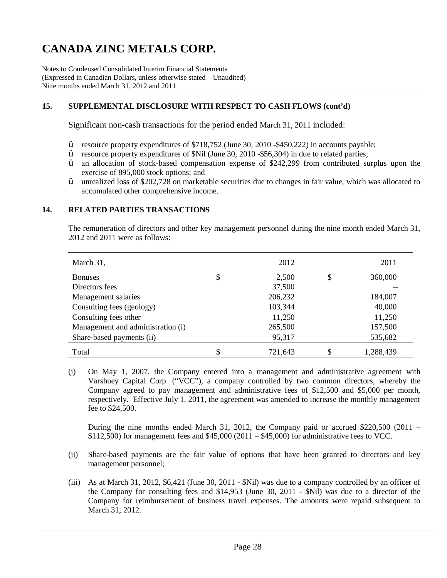Notes to Condensed Consolidated Interim Financial Statements (Expressed in Canadian Dollars, unless otherwise stated – Unaudited) Nine months ended March 31, 2012 and 2011

### **15. SUPPLEMENTAL DISCLOSURE WITH RESPECT TO CASH FLOWS (cont'd)**

Significant non-cash transactions for the period ended March 31, 2011 included:

- Ÿ resource property expenditures of \$718,752 (June 30, 2010 -\$450,222) in accounts payable;
- Ÿ resource property expenditures of \$Nil (June 30, 2010 -\$56,304) in due to related parties;
- $\dot{Y}$  an allocation of stock-based compensation expense of \$242,299 from contributed surplus upon the exercise of 895,000 stock options; and
- $\ddot{Y}$  unrealized loss of \$202,728 on marketable securities due to changes in fair value, which was allocated to accumulated other comprehensive income.

#### **14. RELATED PARTIES TRANSACTIONS**

The remuneration of directors and other key management personnel during the nine month ended March 31, 2012 and 2011 were as follows:

| March 31,                         | 2012          | 2011            |
|-----------------------------------|---------------|-----------------|
| <b>Bonuses</b>                    | \$<br>2,500   | \$<br>360,000   |
| Directors fees                    | 37,500        |                 |
| Management salaries               | 206,232       | 184,007         |
| Consulting fees (geology)         | 103,344       | 40,000          |
| Consulting fees other             | 11,250        | 11,250          |
| Management and administration (i) | 265,500       | 157,500         |
| Share-based payments (ii)         | 95,317        | 535,682         |
| Total                             | \$<br>721,643 | \$<br>1,288,439 |

(i) On May 1, 2007, the Company entered into a management and administrative agreement with Varshney Capital Corp. ("VCC"), a company controlled by two common directors, whereby the Company agreed to pay management and administrative fees of \$12,500 and \$5,000 per month, respectively. Effective July 1, 2011, the agreement was amended to increase the monthly management fee to \$24,500.

During the nine months ended March 31, 2012, the Company paid or accrued \$220,500 (2011 –  $$112,500$ ) for management fees and  $$45,000$  (2011 –  $$45,000$ ) for administrative fees to VCC.

- (ii) Share-based payments are the fair value of options that have been granted to directors and key management personnel;
- (iii) As at March 31, 2012, \$6,421 (June 30, 2011 \$Nil) was due to a company controlled by an officer of the Company for consulting fees and \$14,953 (June 30, 2011 - \$Nil) was due to a director of the Company for reimbursement of business travel expenses. The amounts were repaid subsequent to March 31, 2012.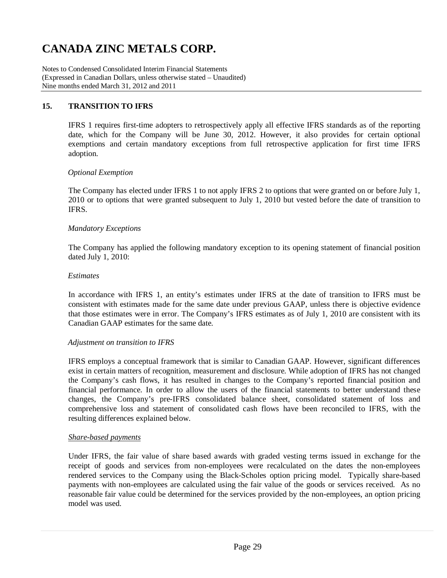Notes to Condensed Consolidated Interim Financial Statements (Expressed in Canadian Dollars, unless otherwise stated – Unaudited) Nine months ended March 31, 2012 and 2011

### **15. TRANSITION TO IFRS**

IFRS 1 requires first-time adopters to retrospectively apply all effective IFRS standards as of the reporting date, which for the Company will be June 30, 2012. However, it also provides for certain optional exemptions and certain mandatory exceptions from full retrospective application for first time IFRS adoption.

#### *Optional Exemption*

The Company has elected under IFRS 1 to not apply IFRS 2 to options that were granted on or before July 1, 2010 or to options that were granted subsequent to July 1, 2010 but vested before the date of transition to IFRS.

#### *Mandatory Exceptions*

The Company has applied the following mandatory exception to its opening statement of financial position dated July 1, 2010:

#### *Estimates*

In accordance with IFRS 1, an entity's estimates under IFRS at the date of transition to IFRS must be consistent with estimates made for the same date under previous GAAP, unless there is objective evidence that those estimates were in error. The Company's IFRS estimates as of July 1, 2010 are consistent with its Canadian GAAP estimates for the same date.

#### *Adjustment on transition to IFRS*

IFRS employs a conceptual framework that is similar to Canadian GAAP. However, significant differences exist in certain matters of recognition, measurement and disclosure. While adoption of IFRS has not changed the Company's cash flows, it has resulted in changes to the Company's reported financial position and financial performance. In order to allow the users of the financial statements to better understand these changes, the Company's pre-IFRS consolidated balance sheet, consolidated statement of loss and comprehensive loss and statement of consolidated cash flows have been reconciled to IFRS, with the resulting differences explained below.

#### *Share-based payments*

Under IFRS, the fair value of share based awards with graded vesting terms issued in exchange for the receipt of goods and services from non-employees were recalculated on the dates the non-employees rendered services to the Company using the Black-Scholes option pricing model. Typically share-based payments with non-employees are calculated using the fair value of the goods or services received. As no reasonable fair value could be determined for the services provided by the non-employees, an option pricing model was used.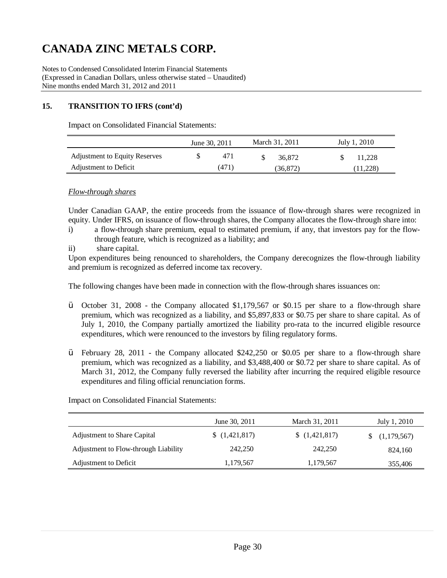Notes to Condensed Consolidated Interim Financial Statements (Expressed in Canadian Dollars, unless otherwise stated – Unaudited) Nine months ended March 31, 2012 and 2011

### **15. TRANSITION TO IFRS (cont'd)**

Impact on Consolidated Financial Statements:

|                                      | June 30, 2011 | March 31, 2011 | July 1, 2010 |
|--------------------------------------|---------------|----------------|--------------|
| <b>Adjustment to Equity Reserves</b> | 471           | 36.872         | 11.228       |
| Adjustment to Deficit                | (471)         | (36,872)       | (11,228)     |

#### *Flow-through shares*

Under Canadian GAAP, the entire proceeds from the issuance of flow-through shares were recognized in equity. Under IFRS, on issuance of flow-through shares, the Company allocates the flow-through share into:

- i) a flow-through share premium, equal to estimated premium, if any, that investors pay for the flowthrough feature, which is recognized as a liability; and
- ii) share capital.

Upon expenditures being renounced to shareholders, the Company derecognizes the flow-through liability and premium is recognized as deferred income tax recovery.

The following changes have been made in connection with the flow-through shares issuances on:

- $\ddot{V}$  October 31, 2008 the Company allocated \$1,179,567 or \$0.15 per share to a flow-through share premium, which was recognized as a liability, and \$5,897,833 or \$0.75 per share to share capital. As of July 1, 2010, the Company partially amortized the liability pro-rata to the incurred eligible resource expenditures, which were renounced to the investors by filing regulatory forms.
- Ÿ February 28, 2011 the Company allocated \$242,250 or \$0.05 per share to a flow-through share premium, which was recognized as a liability, and \$3,488,400 or \$0.72 per share to share capital. As of March 31, 2012, the Company fully reversed the liability after incurring the required eligible resource expenditures and filing official renunciation forms.

Impact on Consolidated Financial Statements:

|                                      | June 30, 2011 | March 31, 2011 | July 1, 2010 |
|--------------------------------------|---------------|----------------|--------------|
| <b>Adjustment to Share Capital</b>   | (1,421,817)   | (1,421,817)    | (1,179,567)  |
| Adjustment to Flow-through Liability | 242,250       | 242,250        | 824,160      |
| Adjustment to Deficit                | 1,179,567     | 1,179,567      | 355,406      |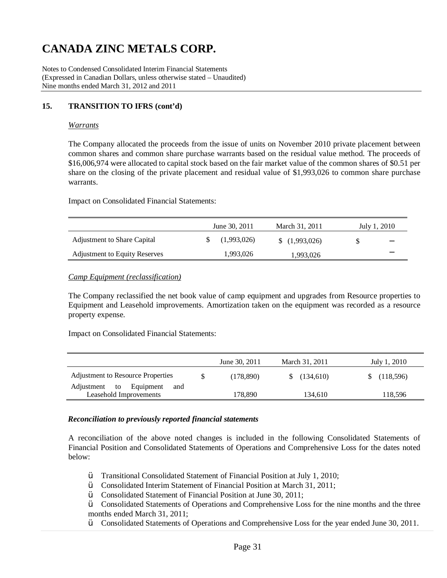Notes to Condensed Consolidated Interim Financial Statements (Expressed in Canadian Dollars, unless otherwise stated – Unaudited) Nine months ended March 31, 2012 and 2011

### **15. TRANSITION TO IFRS (cont'd)**

#### *Warrants*

The Company allocated the proceeds from the issue of units on November 2010 private placement between common shares and common share purchase warrants based on the residual value method. The proceeds of \$16,006,974 were allocated to capital stock based on the fair market value of the common shares of \$0.51 per share on the closing of the private placement and residual value of \$1,993,026 to common share purchase warrants.

Impact on Consolidated Financial Statements:

|                                      | June 30, 2011 | March 31, 2011 |    | July 1, 2010 |
|--------------------------------------|---------------|----------------|----|--------------|
| <b>Adjustment to Share Capital</b>   | (1,993,026)   | (1,993,026)    | S. |              |
| <b>Adjustment to Equity Reserves</b> | 1,993,026     | 1,993,026      |    |              |

#### *Camp Equipment (reclassification)*

The Company reclassified the net book value of camp equipment and upgrades from Resource properties to Equipment and Leasehold improvements. Amortization taken on the equipment was recorded as a resource property expense.

Impact on Consolidated Financial Statements:

|                                   | June 30, 2011 | March 31, 2011 | July 1, 2010 |
|-----------------------------------|---------------|----------------|--------------|
| Adjustment to Resource Properties | (178,890)     | (134.610)      | (118,596)    |
| Equipment<br>Adjustment to<br>and |               |                |              |
| Leasehold Improvements            | 178.890       | 134.610        | 118,596      |

#### *Reconciliation to previously reported financial statements*

A reconciliation of the above noted changes is included in the following Consolidated Statements of Financial Position and Consolidated Statements of Operations and Comprehensive Loss for the dates noted below:

- Ÿ Transitional Consolidated Statement of Financial Position at July 1, 2010;
- Ÿ Consolidated Interim Statement of Financial Position at March 31, 2011;
- Ÿ Consolidated Statement of Financial Position at June 30, 2011;
- Ÿ Consolidated Statements of Operations and Comprehensive Loss for the nine months and the three months ended March 31, 2011;
- Ÿ Consolidated Statements of Operations and Comprehensive Loss for the year ended June 30, 2011.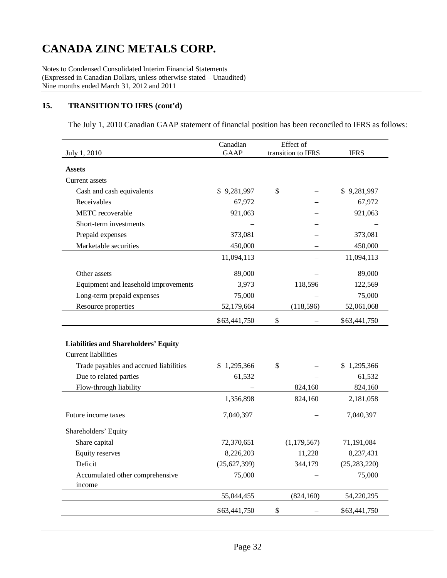Notes to Condensed Consolidated Interim Financial Statements (Expressed in Canadian Dollars, unless otherwise stated – Unaudited) Nine months ended March 31, 2012 and 2011

## **15. TRANSITION TO IFRS (cont'd)**

The July 1, 2010 Canadian GAAP statement of financial position has been reconciled to IFRS as follows:

| July 1, 2010                                | Canadian<br><b>GAAP</b> | Effect of<br>transition to IFRS | <b>IFRS</b>    |
|---------------------------------------------|-------------------------|---------------------------------|----------------|
|                                             |                         |                                 |                |
| <b>Assets</b>                               |                         |                                 |                |
| Current assets                              |                         |                                 |                |
| Cash and cash equivalents                   | \$9,281,997             | \$                              | \$9,281,997    |
| Receivables                                 | 67,972                  |                                 | 67,972         |
| METC recoverable                            | 921,063                 |                                 | 921,063        |
| Short-term investments                      |                         |                                 |                |
| Prepaid expenses                            | 373,081                 |                                 | 373,081        |
| Marketable securities                       | 450,000                 |                                 | 450,000        |
|                                             | 11,094,113              |                                 | 11,094,113     |
| Other assets                                | 89,000                  |                                 | 89,000         |
| Equipment and leasehold improvements        | 3,973                   | 118,596                         | 122,569        |
| Long-term prepaid expenses                  | 75,000                  |                                 | 75,000         |
| Resource properties                         | 52,179,664              | (118, 596)                      | 52,061,068     |
|                                             | \$63,441,750            | \$                              | \$63,441,750   |
|                                             |                         |                                 |                |
| <b>Liabilities and Shareholders' Equity</b> |                         |                                 |                |
| <b>Current liabilities</b>                  |                         |                                 |                |
| Trade payables and accrued liabilities      | \$1,295,366             | \$                              | \$1,295,366    |
| Due to related parties                      | 61,532                  |                                 | 61,532         |
| Flow-through liability                      |                         | 824,160                         | 824,160        |
|                                             | 1,356,898               | 824,160                         | 2,181,058      |
| Future income taxes                         | 7,040,397               |                                 | 7,040,397      |
| Shareholders' Equity                        |                         |                                 |                |
| Share capital                               | 72,370,651              | (1, 179, 567)                   | 71,191,084     |
| <b>Equity reserves</b>                      | 8,226,203               | 11,228                          | 8,237,431      |
| Deficit                                     | (25, 627, 399)          | 344,179                         | (25, 283, 220) |
| Accumulated other comprehensive             | 75,000                  |                                 | 75,000         |
| income                                      |                         |                                 |                |
|                                             | 55,044,455              | (824, 160)                      | 54,220,295     |
|                                             | \$63,441,750            | \$                              | \$63,441,750   |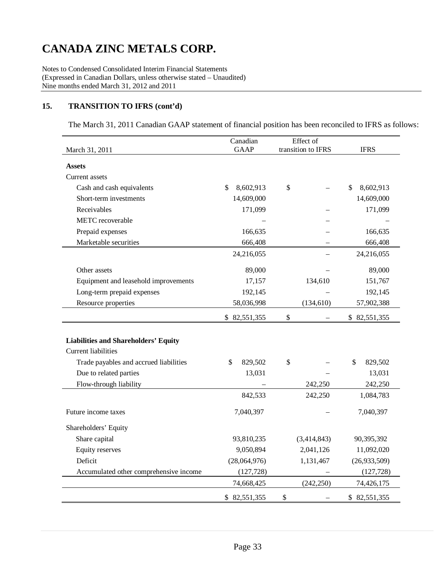Notes to Condensed Consolidated Interim Financial Statements (Expressed in Canadian Dollars, unless otherwise stated – Unaudited) Nine months ended March 31, 2012 and 2011

## **15. TRANSITION TO IFRS (cont'd)**

The March 31, 2011 Canadian GAAP statement of financial position has been reconciled to IFRS as follows:

|                                             | Canadian        | Effect of          |                 |  |
|---------------------------------------------|-----------------|--------------------|-----------------|--|
| March 31, 2011                              | <b>GAAP</b>     | transition to IFRS | <b>IFRS</b>     |  |
| <b>Assets</b>                               |                 |                    |                 |  |
| Current assets                              |                 |                    |                 |  |
| Cash and cash equivalents                   | \$<br>8,602,913 | \$                 | \$<br>8,602,913 |  |
| Short-term investments                      | 14,609,000      |                    | 14,609,000      |  |
| Receivables                                 | 171,099         |                    | 171,099         |  |
| <b>METC</b> recoverable                     |                 |                    |                 |  |
| Prepaid expenses                            | 166,635         |                    | 166,635         |  |
| Marketable securities                       | 666,408         |                    | 666,408         |  |
|                                             | 24,216,055      |                    | 24,216,055      |  |
| Other assets                                | 89,000          |                    | 89,000          |  |
| Equipment and leasehold improvements        | 17,157          | 134,610            | 151,767         |  |
| Long-term prepaid expenses                  | 192,145         |                    | 192,145         |  |
| Resource properties                         | 58,036,998      | (134, 610)         | 57,902,388      |  |
|                                             | \$82,551,355    | \$                 | \$82,551,355    |  |
|                                             |                 |                    |                 |  |
| <b>Liabilities and Shareholders' Equity</b> |                 |                    |                 |  |
| <b>Current liabilities</b>                  |                 |                    |                 |  |
| Trade payables and accrued liabilities      | \$<br>829,502   | \$                 | \$<br>829,502   |  |
| Due to related parties                      | 13,031          |                    | 13,031          |  |
| Flow-through liability                      |                 | 242,250            | 242,250         |  |
|                                             | 842,533         | 242,250            | 1,084,783       |  |
| Future income taxes                         | 7,040,397       |                    | 7,040,397       |  |
| Shareholders' Equity                        |                 |                    |                 |  |
| Share capital                               | 93,810,235      | (3,414,843)        | 90,395,392      |  |
| <b>Equity reserves</b>                      | 9,050,894       | 2,041,126          | 11,092,020      |  |
| Deficit                                     | (28,064,976)    | 1,131,467          | (26,933,509)    |  |
| Accumulated other comprehensive income      | (127, 728)      |                    | (127, 728)      |  |
|                                             | 74,668,425      | (242, 250)         | 74,426,175      |  |
|                                             | \$ 82,551,355   | \$                 | \$82,551,355    |  |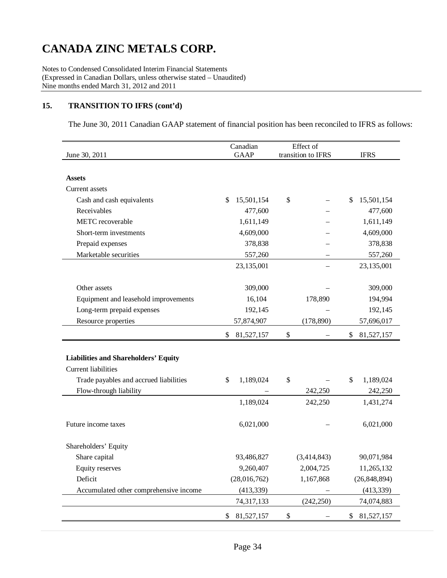Notes to Condensed Consolidated Interim Financial Statements (Expressed in Canadian Dollars, unless otherwise stated – Unaudited) Nine months ended March 31, 2012 and 2011

## **15. TRANSITION TO IFRS (cont'd)**

The June 30, 2011 Canadian GAAP statement of financial position has been reconciled to IFRS as follows:

|                                             | Canadian          | Effect of          |                  |
|---------------------------------------------|-------------------|--------------------|------------------|
| June 30, 2011                               | <b>GAAP</b>       | transition to IFRS | <b>IFRS</b>      |
|                                             |                   |                    |                  |
| <b>Assets</b>                               |                   |                    |                  |
| Current assets                              |                   |                    |                  |
| Cash and cash equivalents                   | 15,501,154<br>\$. | \$                 | 15,501,154<br>\$ |
| Receivables                                 | 477,600           |                    | 477,600          |
| METC recoverable                            | 1,611,149         |                    | 1,611,149        |
| Short-term investments                      | 4,609,000         |                    | 4,609,000        |
| Prepaid expenses                            | 378,838           |                    | 378,838          |
| Marketable securities                       | 557,260           |                    | 557,260          |
|                                             | 23,135,001        |                    | 23,135,001       |
|                                             |                   |                    |                  |
| Other assets                                | 309,000           |                    | 309,000          |
| Equipment and leasehold improvements        | 16,104            | 178,890            | 194,994          |
| Long-term prepaid expenses                  | 192,145           |                    | 192,145          |
| Resource properties                         | 57,874,907        | (178, 890)         | 57,696,017       |
|                                             | \$<br>81,527,157  | \$                 | \$<br>81,527,157 |
|                                             |                   |                    |                  |
| <b>Liabilities and Shareholders' Equity</b> |                   |                    |                  |
| <b>Current liabilities</b>                  |                   |                    |                  |
| Trade payables and accrued liabilities      | 1,189,024<br>\$   | \$                 | \$<br>1,189,024  |
| Flow-through liability                      |                   | 242,250            | 242,250          |
|                                             | 1,189,024         | 242,250            | 1,431,274        |
|                                             |                   |                    |                  |
| Future income taxes                         | 6,021,000         |                    | 6,021,000        |
|                                             |                   |                    |                  |
| Shareholders' Equity                        |                   |                    |                  |
| Share capital                               | 93,486,827        | (3,414,843)        | 90,071,984       |
| <b>Equity reserves</b>                      | 9,260,407         | 2,004,725          | 11,265,132       |
| Deficit                                     | (28,016,762)      | 1,167,868          | (26, 848, 894)   |
| Accumulated other comprehensive income      | (413, 339)        |                    | (413, 339)       |
|                                             | 74,317,133        | (242, 250)         | 74,074,883       |
|                                             | \$<br>81,527,157  | \$                 | \$<br>81,527,157 |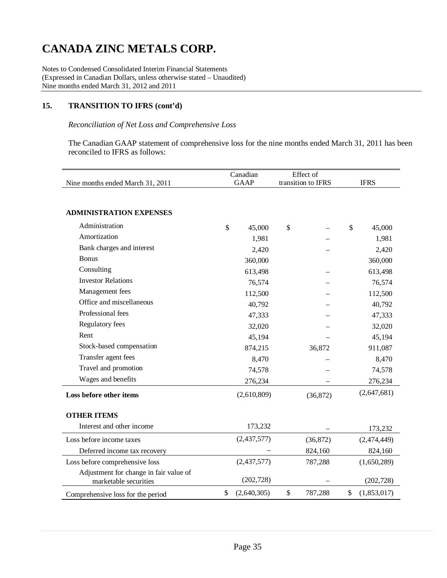Notes to Condensed Consolidated Interim Financial Statements (Expressed in Canadian Dollars, unless otherwise stated – Unaudited) Nine months ended March 31, 2012 and 2011

## **15. TRANSITION TO IFRS (cont'd)**

### *Reconciliation of Net Loss and Comprehensive Loss*

The Canadian GAAP statement of comprehensive loss for the nine months ended March 31, 2011 has been reconciled to IFRS as follows:

|                                        | Canadian<br><b>GAAP</b> |             |                    | Effect of | <b>IFRS</b>  |             |  |
|----------------------------------------|-------------------------|-------------|--------------------|-----------|--------------|-------------|--|
| Nine months ended March 31, 2011       |                         |             | transition to IFRS |           |              |             |  |
| <b>ADMINISTRATION EXPENSES</b>         |                         |             |                    |           |              |             |  |
| Administration                         | \$                      | 45,000      | \$                 |           | $\mathbb{S}$ | 45,000      |  |
| Amortization                           |                         | 1,981       |                    |           |              | 1,981       |  |
| Bank charges and interest              |                         | 2,420       |                    |           |              | 2,420       |  |
| <b>Bonus</b>                           |                         | 360,000     |                    |           |              | 360,000     |  |
| Consulting                             |                         | 613,498     |                    |           |              | 613,498     |  |
| <b>Investor Relations</b>              |                         | 76,574      |                    |           |              | 76,574      |  |
| Management fees                        |                         | 112,500     |                    |           |              | 112,500     |  |
| Office and miscellaneous               |                         | 40,792      |                    |           |              | 40,792      |  |
| Professional fees                      |                         | 47,333      |                    |           |              | 47,333      |  |
| Regulatory fees                        |                         | 32,020      |                    |           |              | 32,020      |  |
| Rent                                   |                         | 45,194      |                    |           |              | 45,194      |  |
| Stock-based compensation               |                         | 874,215     |                    | 36,872    |              | 911,087     |  |
| Transfer agent fees                    |                         | 8,470       |                    |           |              | 8,470       |  |
| Travel and promotion                   |                         | 74,578      |                    |           |              | 74,578      |  |
| Wages and benefits                     | 276,234                 |             |                    |           | 276,234      |             |  |
| Loss before other items                |                         | (2,610,809) | (36,872)           |           |              | (2,647,681) |  |
| <b>OTHER ITEMS</b>                     |                         |             |                    |           |              |             |  |
| Interest and other income              |                         | 173,232     |                    |           |              | 173,232     |  |
| Loss before income taxes               | (2,437,577)             |             | (36,872)           |           |              | (2,474,449) |  |
| Deferred income tax recovery           |                         |             | 824,160            |           |              | 824,160     |  |
| Loss before comprehensive loss         |                         | (2,437,577) |                    | 787,288   |              | (1,650,289) |  |
| Adjustment for change in fair value of |                         |             |                    |           |              |             |  |
| marketable securities                  |                         | (202, 728)  |                    |           |              | (202, 728)  |  |
| Comprehensive loss for the period      | \$                      | (2,640,305) | \$                 | 787,288   | \$           | (1,853,017) |  |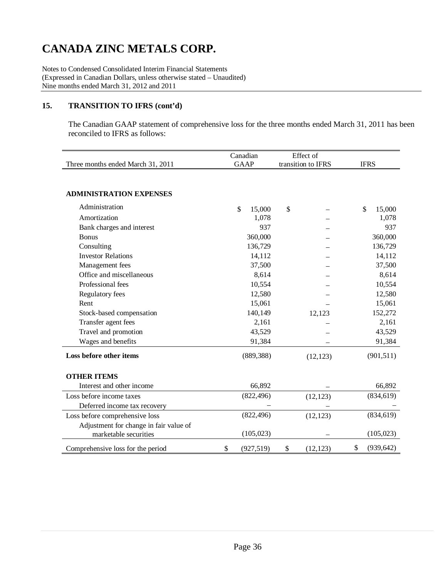Notes to Condensed Consolidated Interim Financial Statements (Expressed in Canadian Dollars, unless otherwise stated – Unaudited) Nine months ended March 31, 2012 and 2011

## **15. TRANSITION TO IFRS (cont'd)**

The Canadian GAAP statement of comprehensive loss for the three months ended March 31, 2011 has been reconciled to IFRS as follows:

|                                        | Canadian    |    | Effect of  |                    |             |    |              |
|----------------------------------------|-------------|----|------------|--------------------|-------------|----|--------------|
| Three months ended March 31, 2011      | <b>GAAP</b> |    |            | transition to IFRS | <b>IFRS</b> |    |              |
|                                        |             |    |            |                    |             |    |              |
|                                        |             |    |            |                    |             |    |              |
| <b>ADMINISTRATION EXPENSES</b>         |             |    |            |                    |             |    |              |
| Administration                         |             | \$ | 15,000     | \$                 |             |    | \$<br>15,000 |
| Amortization                           |             |    | 1,078      |                    |             |    | 1,078        |
| Bank charges and interest              |             |    | 937        |                    |             |    | 937          |
| <b>Bonus</b>                           |             |    | 360,000    |                    |             |    | 360,000      |
| Consulting                             |             |    | 136,729    |                    |             |    | 136,729      |
| <b>Investor Relations</b>              |             |    | 14,112     |                    |             |    | 14,112       |
| Management fees                        |             |    | 37,500     |                    |             |    | 37,500       |
| Office and miscellaneous               |             |    | 8,614      |                    |             |    | 8,614        |
| Professional fees                      |             |    | 10,554     |                    |             |    | 10,554       |
| Regulatory fees                        |             |    | 12,580     |                    |             |    | 12,580       |
| Rent                                   |             |    | 15,061     |                    |             |    | 15,061       |
| Stock-based compensation               |             |    | 140,149    |                    | 12,123      |    | 152,272      |
| Transfer agent fees                    |             |    | 2,161      |                    |             |    | 2,161        |
| Travel and promotion                   |             |    | 43,529     |                    |             |    | 43,529       |
| Wages and benefits                     |             |    | 91,384     |                    |             |    | 91,384       |
| Loss before other items                |             |    | (889, 388) |                    | (12, 123)   |    | (901, 511)   |
|                                        |             |    |            |                    |             |    |              |
| <b>OTHER ITEMS</b>                     |             |    |            |                    |             |    |              |
| Interest and other income              |             |    | 66,892     |                    |             |    | 66,892       |
| Loss before income taxes               |             |    | (822, 496) |                    | (12, 123)   |    | (834, 619)   |
| Deferred income tax recovery           |             |    |            |                    |             |    |              |
| Loss before comprehensive loss         |             |    | (822, 496) |                    | (12, 123)   |    | (834, 619)   |
| Adjustment for change in fair value of |             |    |            |                    |             |    |              |
| marketable securities                  |             |    | (105, 023) |                    |             |    | (105, 023)   |
| Comprehensive loss for the period      | \$          |    | (927, 519) | \$                 | (12, 123)   | \$ | (939, 642)   |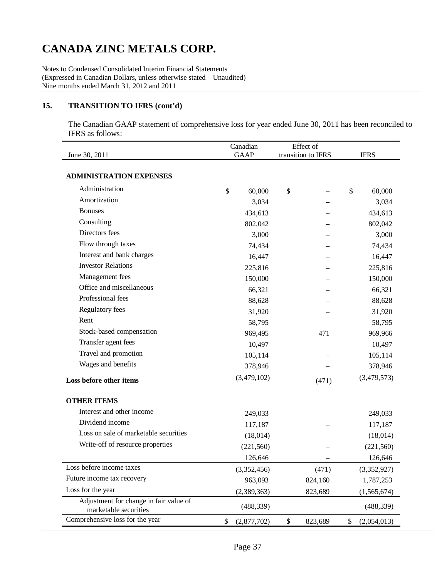Notes to Condensed Consolidated Interim Financial Statements (Expressed in Canadian Dollars, unless otherwise stated – Unaudited) Nine months ended March 31, 2012 and 2011

## **15. TRANSITION TO IFRS (cont'd)**

The Canadian GAAP statement of comprehensive loss for year ended June 30, 2011 has been reconciled to IFRS as follows:

|                                                                 | Canadian    |             | Effect of          |         |             |               |
|-----------------------------------------------------------------|-------------|-------------|--------------------|---------|-------------|---------------|
| June 30, 2011                                                   | <b>GAAP</b> |             | transition to IFRS |         | <b>IFRS</b> |               |
| <b>ADMINISTRATION EXPENSES</b>                                  |             |             |                    |         |             |               |
| Administration                                                  | \$          | 60,000      | \$                 |         | \$          | 60,000        |
| Amortization                                                    |             | 3,034       |                    |         |             | 3,034         |
| <b>Bonuses</b>                                                  |             | 434,613     |                    |         |             | 434,613       |
| Consulting                                                      |             | 802,042     |                    |         |             | 802,042       |
| Directors fees                                                  |             | 3,000       |                    |         |             | 3,000         |
| Flow through taxes                                              |             | 74,434      |                    |         |             | 74,434        |
| Interest and bank charges                                       |             | 16,447      |                    |         |             | 16,447        |
| <b>Investor Relations</b>                                       |             | 225,816     |                    |         | 225,816     |               |
| Management fees                                                 |             | 150,000     |                    |         |             | 150,000       |
| Office and miscellaneous                                        |             | 66,321      |                    |         |             | 66,321        |
| Professional fees                                               |             | 88,628      |                    |         |             | 88,628        |
| Regulatory fees                                                 |             | 31,920      |                    |         |             | 31,920        |
| Rent                                                            |             | 58,795      |                    |         |             | 58,795        |
| Stock-based compensation                                        |             | 969,495     |                    | 471     |             | 969,966       |
| Transfer agent fees                                             |             | 10,497      |                    |         | 10,497      |               |
| Travel and promotion                                            |             | 105,114     |                    |         |             | 105,114       |
| Wages and benefits                                              |             | 378,946     |                    |         |             | 378,946       |
| Loss before other items                                         |             | (3,479,102) |                    | (471)   |             | (3,479,573)   |
| <b>OTHER ITEMS</b>                                              |             |             |                    |         |             |               |
| Interest and other income                                       |             | 249,033     |                    |         |             | 249,033       |
| Dividend income                                                 |             | 117,187     |                    |         |             | 117,187       |
| Loss on sale of marketable securities                           |             | (18, 014)   |                    |         |             | (18, 014)     |
| Write-off of resource properties                                |             | (221, 560)  |                    |         |             | (221, 560)    |
|                                                                 |             | 126,646     |                    |         |             | 126,646       |
| Loss before income taxes                                        |             | (3,352,456) |                    | (471)   |             | (3,352,927)   |
| Future income tax recovery                                      |             | 963,093     |                    | 824,160 |             | 1,787,253     |
| Loss for the year                                               |             | (2,389,363) |                    | 823,689 |             | (1, 565, 674) |
| Adjustment for change in fair value of<br>marketable securities |             | (488, 339)  |                    |         |             | (488, 339)    |
| Comprehensive loss for the year                                 | \$          | (2,877,702) | \$                 | 823,689 | \$          | (2,054,013)   |